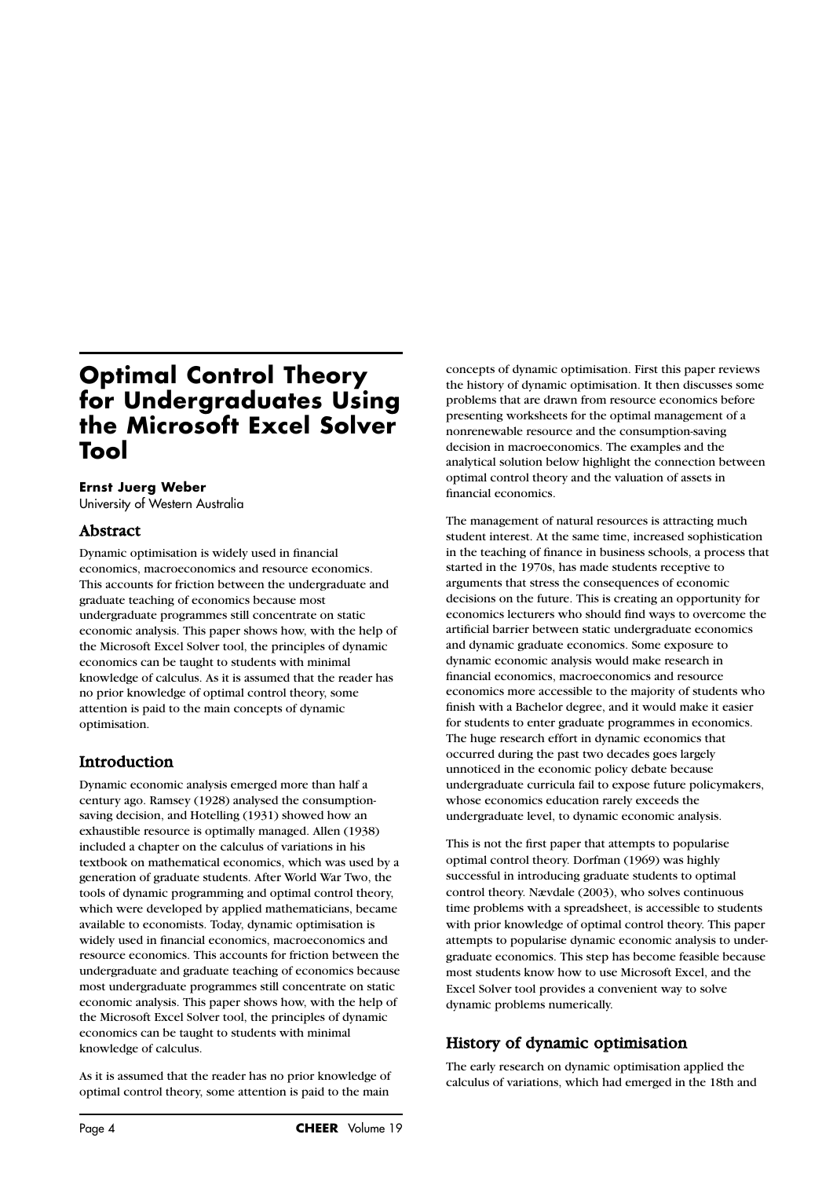# **Optimal Control Theory for Undergraduates Using the Microsoft Excel Solver Tool**

#### **Ernst Juerg Weber**

University of Western Australia

## Abstract

Dynamic optimisation is widely used in financial economics, macroeconomics and resource economics. This accounts for friction between the undergraduate and graduate teaching of economics because most undergraduate programmes still concentrate on static economic analysis. This paper shows how, with the help of the Microsoft Excel Solver tool, the principles of dynamic economics can be taught to students with minimal knowledge of calculus. As it is assumed that the reader has no prior knowledge of optimal control theory, some attention is paid to the main concepts of dynamic optimisation.

## **Introduction**

Dynamic economic analysis emerged more than half a century ago. Ramsey (1928) analysed the consumptionsaving decision, and Hotelling (1931) showed how an exhaustible resource is optimally managed. Allen (1938) included a chapter on the calculus of variations in his textbook on mathematical economics, which was used by a generation of graduate students. After World War Two, the tools of dynamic programming and optimal control theory, which were developed by applied mathematicians, became available to economists. Today, dynamic optimisation is widely used in financial economics, macroeconomics and resource economics. This accounts for friction between the undergraduate and graduate teaching of economics because most undergraduate programmes still concentrate on static economic analysis. This paper shows how, with the help of the Microsoft Excel Solver tool, the principles of dynamic economics can be taught to students with minimal knowledge of calculus.

As it is assumed that the reader has no prior knowledge of optimal control theory, some attention is paid to the main

concepts of dynamic optimisation. First this paper reviews the history of dynamic optimisation. It then discusses some problems that are drawn from resource economics before presenting worksheets for the optimal management of a nonrenewable resource and the consumption-saving decision in macroeconomics. The examples and the analytical solution below highlight the connection between optimal control theory and the valuation of assets in financial economics.

The management of natural resources is attracting much student interest. At the same time, increased sophistication in the teaching of finance in business schools, a process that started in the 1970s, has made students receptive to arguments that stress the consequences of economic decisions on the future. This is creating an opportunity for economics lecturers who should find ways to overcome the artificial barrier between static undergraduate economics and dynamic graduate economics. Some exposure to dynamic economic analysis would make research in financial economics, macroeconomics and resource economics more accessible to the majority of students who finish with a Bachelor degree, and it would make it easier for students to enter graduate programmes in economics. The huge research effort in dynamic economics that occurred during the past two decades goes largely unnoticed in the economic policy debate because undergraduate curricula fail to expose future policymakers, whose economics education rarely exceeds the undergraduate level, to dynamic economic analysis.

This is not the first paper that attempts to popularise optimal control theory. Dorfman (1969) was highly successful in introducing graduate students to optimal control theory. Nævdale (2003), who solves continuous time problems with a spreadsheet, is accessible to students with prior knowledge of optimal control theory. This paper attempts to popularise dynamic economic analysis to undergraduate economics. This step has become feasible because most students know how to use Microsoft Excel, and the Excel Solver tool provides a convenient way to solve dynamic problems numerically.

## History of dynamic optimisation

The early research on dynamic optimisation applied the calculus of variations, which had emerged in the 18th and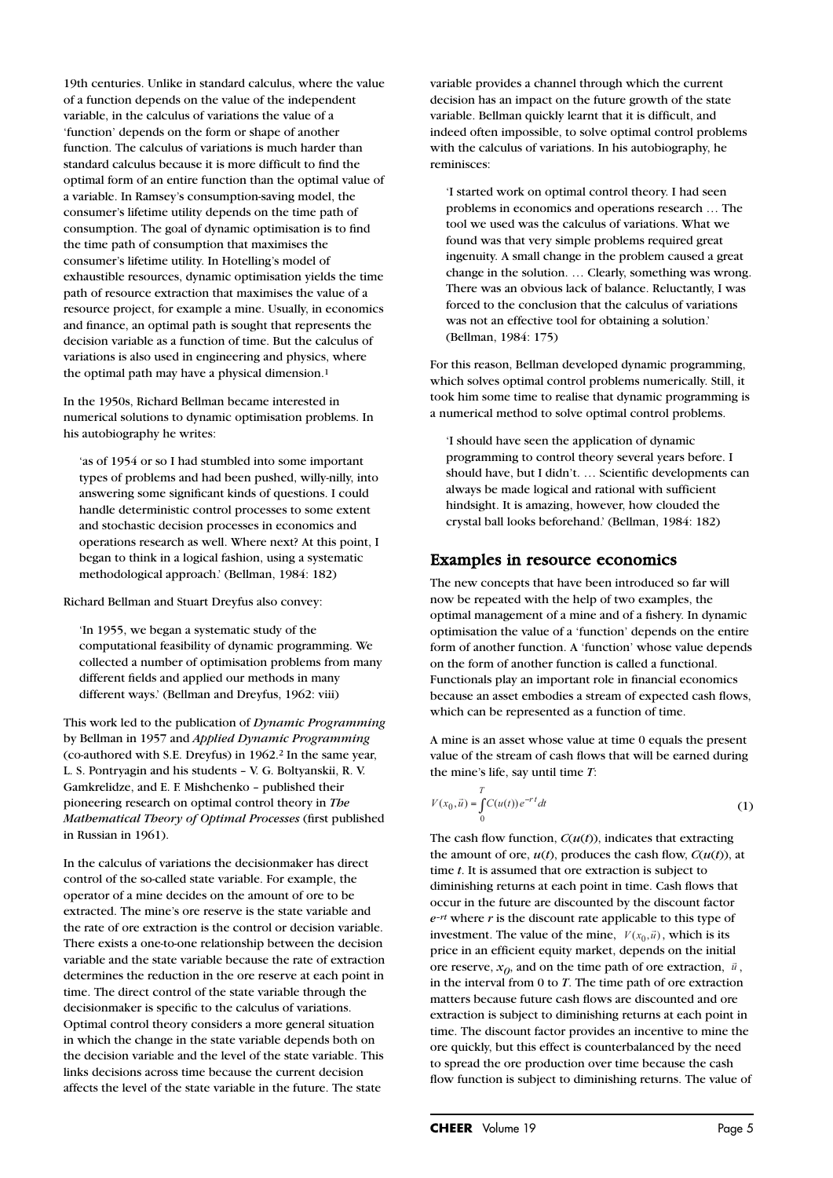19th centuries. Unlike in standard calculus, where the value of a function depends on the value of the independent variable, in the calculus of variations the value of a 'function' depends on the form or shape of another function. The calculus of variations is much harder than standard calculus because it is more difficult to find the optimal form of an entire function than the optimal value of a variable. In Ramsey's consumption-saving model, the consumer's lifetime utility depends on the time path of consumption. The goal of dynamic optimisation is to find the time path of consumption that maximises the consumer's lifetime utility. In Hotelling's model of exhaustible resources, dynamic optimisation yields the time path of resource extraction that maximises the value of a resource project, for example a mine. Usually, in economics and finance, an optimal path is sought that represents the decision variable as a function of time. But the calculus of variations is also used in engineering and physics, where the optimal path may have a physical dimension.<sup>1</sup>

In the 1950s, Richard Bellman became interested in numerical solutions to dynamic optimisation problems. In his autobiography he writes:

'as of 1954 or so I had stumbled into some important types of problems and had been pushed, willy-nilly, into answering some significant kinds of questions. I could handle deterministic control processes to some extent and stochastic decision processes in economics and operations research as well. Where next? At this point, I began to think in a logical fashion, using a systematic methodological approach.' (Bellman, 1984: 182)

Richard Bellman and Stuart Dreyfus also convey:

'In 1955, we began a systematic study of the computational feasibility of dynamic programming. We collected a number of optimisation problems from many different fields and applied our methods in many different ways.' (Bellman and Dreyfus, 1962: viii)

This work led to the publication of *Dynamic Programming* by Bellman in 1957 and *Applied Dynamic Programming* (co-authored with S.E. Dreyfus) in 1962.2 In the same year, L. S. Pontryagin and his students – V. G. Boltyanskii, R. V. Gamkrelidze, and E. F. Mishchenko – published their pioneering research on optimal control theory in *The Mathematical Theory of Optimal Processes* (first published in Russian in 1961).

In the calculus of variations the decisionmaker has direct control of the so-called state variable. For example, the operator of a mine decides on the amount of ore to be extracted. The mine's ore reserve is the state variable and the rate of ore extraction is the control or decision variable. There exists a one-to-one relationship between the decision variable and the state variable because the rate of extraction determines the reduction in the ore reserve at each point in time. The direct control of the state variable through the decisionmaker is specific to the calculus of variations. Optimal control theory considers a more general situation in which the change in the state variable depends both on the decision variable and the level of the state variable. This links decisions across time because the current decision affects the level of the state variable in the future. The state

variable provides a channel through which the current decision has an impact on the future growth of the state variable. Bellman quickly learnt that it is difficult, and indeed often impossible, to solve optimal control problems with the calculus of variations. In his autobiography, he reminisces:

'I started work on optimal control theory. I had seen problems in economics and operations research … The tool we used was the calculus of variations. What we found was that very simple problems required great ingenuity. A small change in the problem caused a great change in the solution. … Clearly, something was wrong. There was an obvious lack of balance. Reluctantly, I was forced to the conclusion that the calculus of variations was not an effective tool for obtaining a solution.' (Bellman, 1984: 175)

For this reason, Bellman developed dynamic programming, which solves optimal control problems numerically. Still, it took him some time to realise that dynamic programming is a numerical method to solve optimal control problems.

'I should have seen the application of dynamic programming to control theory several years before. I should have, but I didn't. … Scientific developments can always be made logical and rational with sufficient hindsight. It is amazing, however, how clouded the crystal ball looks beforehand.' (Bellman, 1984: 182)

## Examples in resource economics

The new concepts that have been introduced so far will now be repeated with the help of two examples, the optimal management of a mine and of a fishery. In dynamic optimisation the value of a 'function' depends on the entire form of another function. A 'function' whose value depends on the form of another function is called a functional. Functionals play an important role in financial economics because an asset embodies a stream of expected cash flows, which can be represented as a function of time.

A mine is an asset whose value at time 0 equals the present value of the stream of cash flows that will be earned during the mine's life, say until time *T*:

$$
V(x_0, \vec{u}) = \int_{0}^{T} C(u(t)) e^{-rt} dt
$$
 (1)

The cash flow function, *C*(*u*(*t*)), indicates that extracting the amount of ore,  $u(t)$ , produces the cash flow,  $C(u(t))$ , at time *t*. It is assumed that ore extraction is subject to diminishing returns at each point in time. Cash flows that occur in the future are discounted by the discount factor *e–rt* where *r* is the discount rate applicable to this type of investment. The value of the mine,  $V(x_0, \vec{u})$ , which is its price in an efficient equity market, depends on the initial ore reserve,  $x_0$ , and on the time path of ore extraction,  $\vec{u}$ , in the interval from 0 to *T*. The time path of ore extraction matters because future cash flows are discounted and ore extraction is subject to diminishing returns at each point in time. The discount factor provides an incentive to mine the ore quickly, but this effect is counterbalanced by the need to spread the ore production over time because the cash flow function is subject to diminishing returns. The value of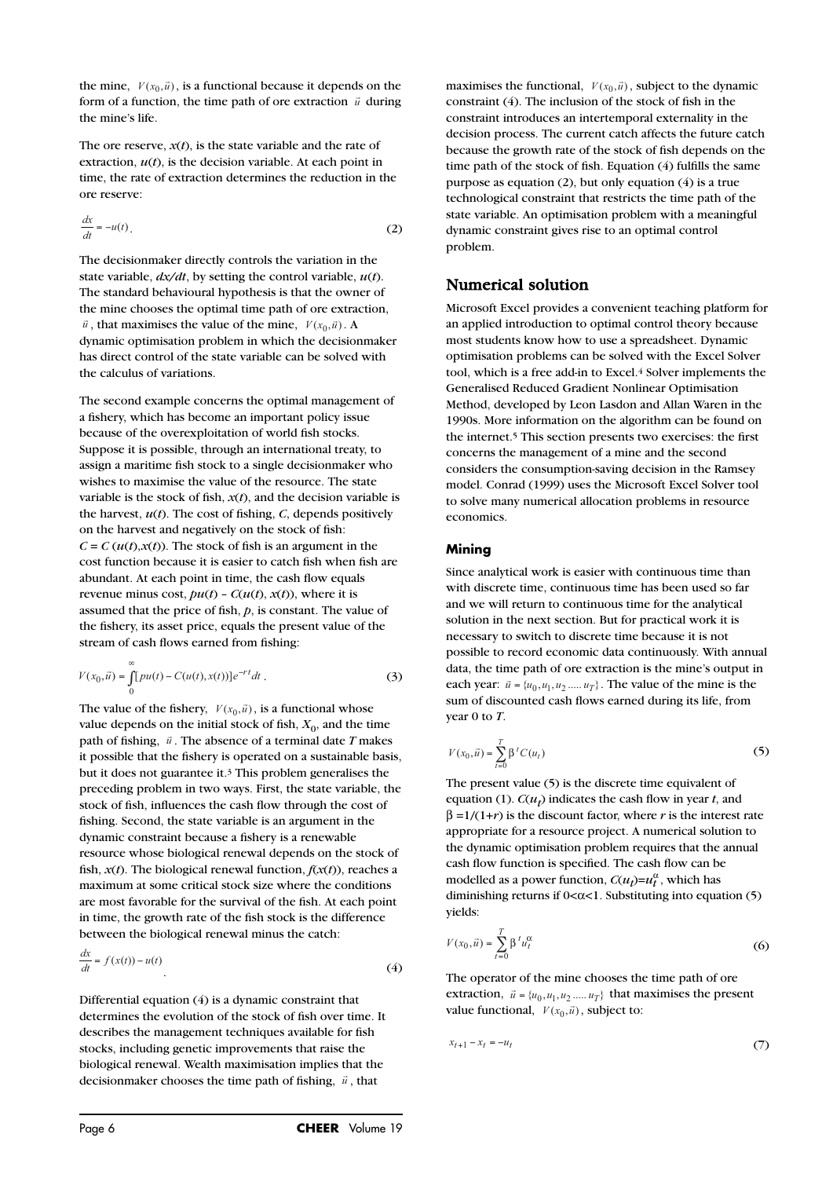the mine,  $V(x_0, \vec{u})$ , is a functional because it depends on the form of a function of the time gradual form output in  $\vec{v}$  depends form of a function, the time path of ore extraction  $\vec{u}$  during the mine's life.

The ore reserve,  $x(t)$ , is the state variable and the rate of extraction,  $u(t)$ , is the decision variable. At each point in time, the rate of extraction determines the reduction in the ore reserve:

$$
\frac{dx}{dt} = -u(t). \tag{2}
$$

The decisionmaker directly controls the variation in the state variable, *dx/dt*, by setting the control variable, *u*(*t*). The standard behavioural hypothesis is that the owner of the mine chooses the optimal time path of ore extraction,  $\vec{u}$ , that maximises the value of the mine,  $V(x_0, \vec{u})$ . dynamic optimisation problem in which the decisionmaker has direct control of the state variable can be solved with the calculus of variations.

The second example concerns the optimal management of a fishery, which has become an important policy issue because of the overexploitation of world fish stocks. Suppose it is possible, through an international treaty, to assign a maritime fish stock to a single decisionmaker who wishes to maximise the value of the resource. The state variable is the stock of fish,  $x(t)$ , and the decision variable is the harvest,  $u(t)$ . The cost of fishing, *C*, depends positively on the harvest and negatively on the stock of fish:  $C = C(u(t),x(t))$ . The stock of fish is an argument in the cost function because it is easier to catch fish when fish are abundant. At each point in time, the cash flow equals revenue minus cost,  $pu(t)$  -  $C(u(t), x(t))$ , where it is assumed that the price of fish, *p*, is constant. The value of the fishery, its asset price, equals the present value of the stream of cash flows earned from fishing:

$$
V(x_0, \vec{u}) = \int_{0}^{\infty} [pu(t) - C(u(t), x(t))] e^{-rt} dt.
$$
 (3)

The value of the fishery,  $V(x_0, \vec{u})$ , is a functional whose value depends on the initial stock of fish,  $X_0$ , and the time path of fishing,  $\vec{u}$ . The absence of a terminal date *T* makes it possible that the fishery is operated on a sustainable basis, but it does not guarantee it.3 This problem generalises the preceding problem in two ways. First, the state variable, the stock of fish, influences the cash flow through the cost of fishing. Second, the state variable is an argument in the dynamic constraint because a fishery is a renewable resource whose biological renewal depends on the stock of fish,  $x(t)$ . The biological renewal function,  $f(x(t))$ , reaches a maximum at some critical stock size where the conditions are most favorable for the survival of the fish. At each point in time, the growth rate of the fish stock is the difference between the biological renewal minus the catch:

$$
\frac{dx}{dt} = f(x(t)) - u(t)
$$
\n(4)

Differential equation (4) is a dynamic constraint that determines the evolution of the stock of fish over time. It describes the management techniques available for fish stocks, including genetic improvements that raise the biological renewal. Wealth maximisation implies that the decisionmaker chooses the time path of fishing,  $\vec{u}$ , that

maximises the functional,  $V(x_0, \vec{u})$ , subject to the dynamic constraint (4). The inclusion of the stock of fish in the constraint introduces an intertemporal externality in the decision process. The current catch affects the future catch because the growth rate of the stock of fish depends on the time path of the stock of fish. Equation (4) fulfills the same purpose as equation (2), but only equation (4) is a true technological constraint that restricts the time path of the state variable. An optimisation problem with a meaningful dynamic constraint gives rise to an optimal control problem.

## Numerical solution

Microsoft Excel provides a convenient teaching platform for an applied introduction to optimal control theory because most students know how to use a spreadsheet. Dynamic optimisation problems can be solved with the Excel Solver tool, which is a free add-in to Excel.<sup>4</sup> Solver implements the Generalised Reduced Gradient Nonlinear Optimisation Method, developed by Leon Lasdon and Allan Waren in the 1990s. More information on the algorithm can be found on the internet.5 This section presents two exercises: the first concerns the management of a mine and the second considers the consumption-saving decision in the Ramsey model. Conrad (1999) uses the Microsoft Excel Solver tool to solve many numerical allocation problems in resource economics.

#### **Mining**

Since analytical work is easier with continuous time than with discrete time, continuous time has been used so far and we will return to continuous time for the analytical solution in the next section. But for practical work it is necessary to switch to discrete time because it is not possible to record economic data continuously. With annual data, the time path of ore extraction is the mine's output in each year:  $\vec{u} = \{u_0, u_1, u_2, \ldots, u_T\}$ . The value of the mine is the sum of discounted cash flows earned during its life, from year 0 to *T*.<br>  $V(x_0, \vec{u}) = \sum_{t=0}^{T} \beta^t C(u_t)$ sum of discounted cash flows earned during its life, from year 0 to *T*.

$$
V(x_0, \vec{u}) = \sum_{t=0}^{T} \beta^t C(u_t)
$$
 (5)

The present value (5) is the discrete time equivalent of equation (1).  $C(u_t)$  indicates the cash flow in year *t*, and  $β = 1/(1+r)$  is the discount factor, where *r* is the interest rate appropriate for a resource project. A numerical solution to the dynamic optimisation problem requires that the annual cash flow function is specified. The cash flow can be modelled as a power function,  $C(u_t) = u_t^{\alpha}$ , which has diminishing returns if  $0 < \alpha < 1$ . Substituting into equation (5) yields:

$$
V(x_0, \vec{u}) = \sum_{t=0}^{T} \beta^t u_t^{\alpha}
$$
 (6)

The operator of the mine chooses the time path of ore extraction,  $\vec{u} = \{u_0, u_1, u_2, ..., u_T\}$  that maximises the present value functional,  $V(x_0, \vec{u})$ , subject to:

$$
x_{t+1} - x_t = -u_t \tag{7}
$$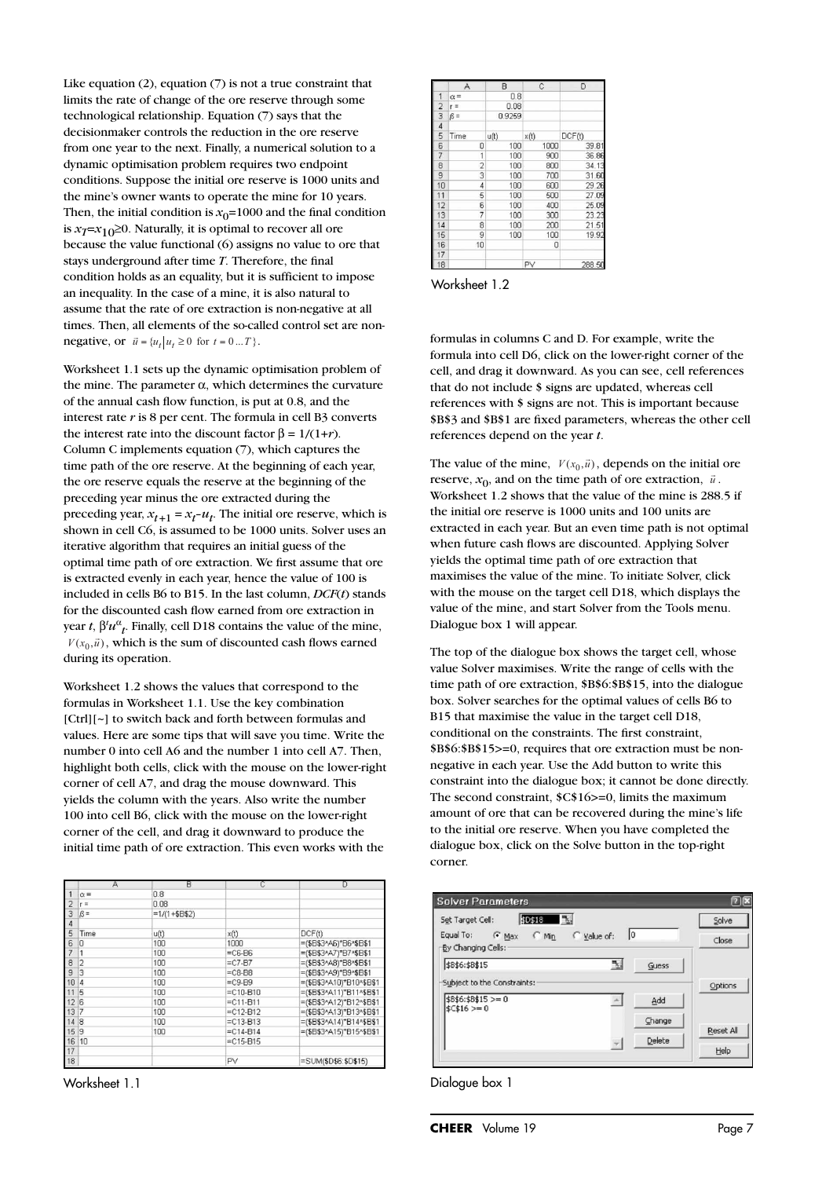Like equation (2), equation (7) is not a true constraint that limits the rate of change of the ore reserve through some technological relationship. Equation (7) says that the decisionmaker controls the reduction in the ore reserve from one year to the next. Finally, a numerical solution to a dynamic optimisation problem requires two endpoint conditions. Suppose the initial ore reserve is 1000 units and the mine's owner wants to operate the mine for 10 years. Then, the initial condition is  $x_0$ =1000 and the final condition is  $x_7 = x_{10} ≥ 0$ . Naturally, it is optimal to recover all ore because the value functional (6) assigns no value to ore that stays underground after time *T*. Therefore, the final condition holds as an equality, but it is sufficient to impose an inequality. In the case of a mine, it is also natural to assume that the rate of ore extraction is non-negative at all times. Then, all elements of the so-called control set are non**negative, or**  $\vec{u} = \{u_t | u_t \ge 0 \text{ for } t = 0 ... T\}.$ 

Worksheet 1.1 sets up the dynamic optimisation problem of the mine. The parameter  $\alpha$ , which determines the curvature of the annual cash flow function, is put at 0.8, and the interest rate *r* is 8 per cent. The formula in cell B3 converts the interest rate into the discount factor  $\beta = 1/(1+r)$ . Column C implements equation (7), which captures the time path of the ore reserve. At the beginning of each year, the ore reserve equals the reserve at the beginning of the preceding year minus the ore extracted during the preceding year,  $x_{t+1} = x_t - u_t$ . The initial ore reserve, which is shown in cell C6, is assumed to be 1000 units. Solver uses an iterative algorithm that requires an initial guess of the optimal time path of ore extraction. We first assume that ore is extracted evenly in each year, hence the value of 100 is included in cells B6 to B15. In the last column, *DCF*(*t*) stands for the discounted cash flow earned from ore extraction in year *t*,  $\beta' u^{\alpha}$ <sub>*t*</sub>. Finally, cell D18 contains the value of the mine,  $V(x_0, \vec{u})$ , which is the sum of discounted cash flows earned during its operation.

Worksheet 1.2 shows the values that correspond to the formulas in Worksheet 1.1. Use the key combination [Ctrl][~] to switch back and forth between formulas and values. Here are some tips that will save you time. Write the number 0 into cell A6 and the number 1 into cell A7. Then, highlight both cells, click with the mouse on the lower-right corner of cell A7, and drag the mouse downward. This yields the column with the years. Also write the number 100 into cell B6, click with the mouse on the lower-right corner of the cell, and drag it downward to produce the initial time path of ore extraction. This even works with the

|                | А              | R                | C                                    | D                        |
|----------------|----------------|------------------|--------------------------------------|--------------------------|
|                | $\alpha =$     | 0.8              |                                      |                          |
| 2              | $r =$          | 0.08             |                                      |                          |
| 3              | $\beta =$      | $=1/(1+$ \$B\$2) |                                      |                          |
| $\overline{4}$ |                |                  |                                      |                          |
| 5              | Time           | u(t)             | x(t)                                 | DCF(t)                   |
| 6              | 0              | 100              | 1000                                 | =(\$B\$3^A6)*B6^\$B\$1   |
| 7              |                | 100              | $=$ C6-B6                            | =(\$B\$3^A7)*B7^\$B\$1   |
| 8              | $\overline{2}$ | 100              | $=$ C7-B7                            | =(\$B\$3^A8)*B8^\$B\$1   |
| 9              | $\overline{3}$ | 100              | $=$ C8-B8                            | =(\$B\$3^A9)*B9^\$B\$1   |
| 10             | 4              | 100              | $=$ C9-B9                            | =(\$B\$3^A10)*B10^\$B\$1 |
| 11             | 5              | 100              | $=$ $C10 - B10$                      | =(\$B\$3^A11)*B11^\$B\$1 |
| 12             | 6              | 100              | $= C11 - B11$                        | =(\$B\$3^A12)*B12^\$B\$1 |
| 13             | 7              | 100              | $=$ C12-B12                          | =(\$B\$3^A13)*B13^\$B\$1 |
| 14             | 8              | 100              | $=$ C13-B13                          | =(\$B\$3^A14)*B14^\$B\$1 |
| 15             | 9              | 100              | $=$ C14-B14                          | =(\$B\$3^A15)*B15^\$B\$1 |
| 16             | 10             |                  | $=$ C <sub>15</sub> -B <sub>15</sub> |                          |
| 17             |                |                  |                                      |                          |
| 18             |                |                  | PV                                   | =SUM(\$D\$6:\$D\$15)     |



|                          | A              | B      | $\mathbb{C}$ | D      |
|--------------------------|----------------|--------|--------------|--------|
| 1                        | $\alpha =$     | 0.8    |              |        |
| $\overline{c}$           | $r =$          | 0.08   |              |        |
| 3                        | $\beta =$      | 0.9259 |              |        |
| 4                        |                |        |              |        |
| 5                        | Time           | u(t)   | x(t)         | DCF(t) |
| 6                        | 0              | 100    | 1000         | 39.81  |
| $\overline{\mathcal{L}}$ | 1              | 100    | 900          | 36.86  |
| 8                        | $\overline{2}$ | 100    | 800          | 34.13  |
| 9                        | 3              | 100    | 700          | 31.60  |
| 10                       | 4              | 100    | 600          | 29.26  |
| 11                       | 5              | 100    | 500          | 27.09  |
| 12                       | 6              | 100    | 400          | 25.09  |
| 13                       | 7              | 100    | 300          | 23.23  |
| 14                       | 8              | 100    | 200          | 21.51  |
| 15                       | 9              | 100    | 100          | 19.92  |
| 16                       | 10             |        | 0            |        |
| 17                       |                |        |              |        |
| 18                       |                |        | PV           | 288.50 |

Worksheet 1.2

formulas in columns C and D. For example, write the formula into cell D6, click on the lower-right corner of the cell, and drag it downward. As you can see, cell references that do not include \$ signs are updated, whereas cell references with \$ signs are not. This is important because \$B\$3 and \$B\$1 are fixed parameters, whereas the other cell references depend on the year *t*.

The value of the mine,  $V(x_0, \vec{u})$ , depends on the initial ore reserve,  $x_0$ , and on the time path of ore extraction,  $\vec{u}$ . Worksheet 1.2 shows that the value of the mine is 288.5 if the initial ore reserve is 1000 units and 100 units are extracted in each year. But an even time path is not optimal when future cash flows are discounted. Applying Solver yields the optimal time path of ore extraction that maximises the value of the mine. To initiate Solver, click with the mouse on the target cell D18, which displays the value of the mine, and start Solver from the Tools menu. Dialogue box 1 will appear.

The top of the dialogue box shows the target cell, whose value Solver maximises. Write the range of cells with the time path of ore extraction, \$B\$6:\$B\$15, into the dialogue box. Solver searches for the optimal values of cells B6 to B15 that maximise the value in the target cell D18, conditional on the constraints. The first constraint, \$B\$6:\$B\$15>=0, requires that ore extraction must be nonnegative in each year. Use the Add button to write this constraint into the dialogue box; it cannot be done directly. The second constraint, \$C\$16>=0, limits the maximum amount of ore that can be recovered during the mine's life to the initial ore reserve. When you have completed the dialogue box, click on the Solve button in the top-right corner.



Dialogue box 1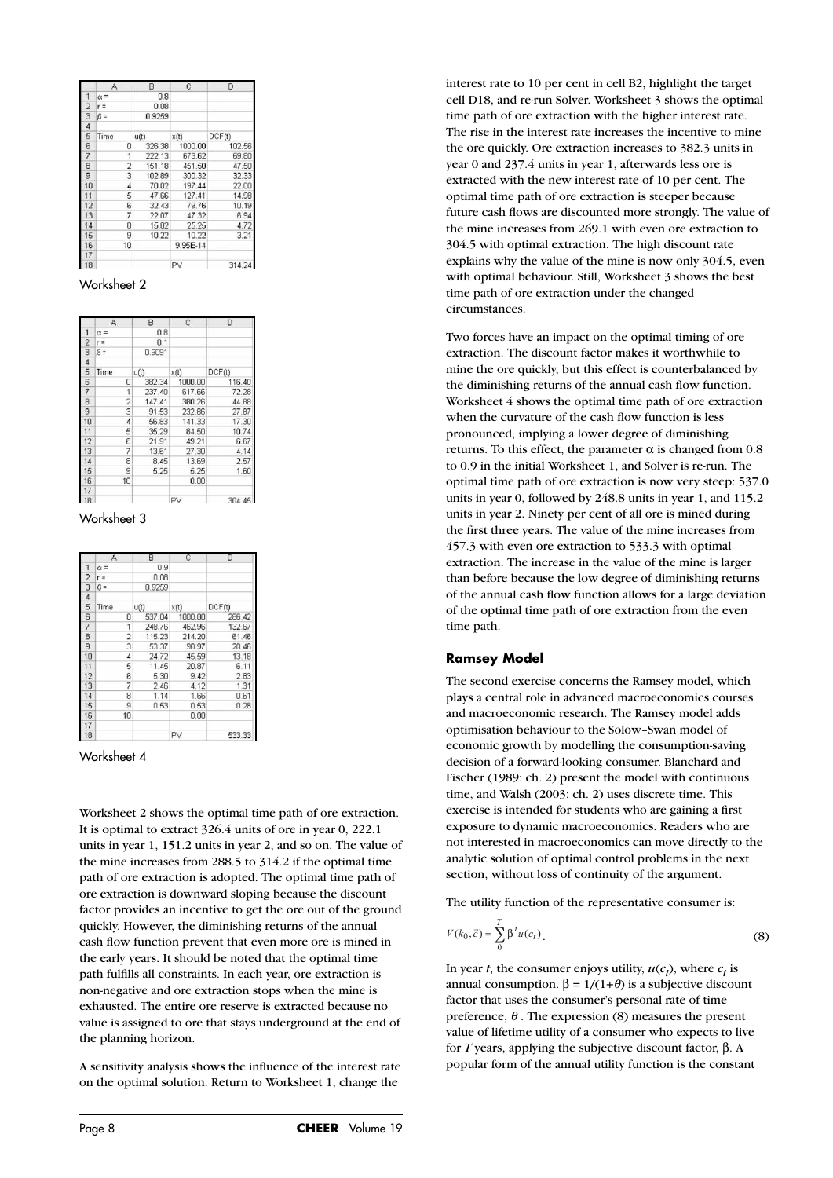|                          | Α              | B      | C        | D      |
|--------------------------|----------------|--------|----------|--------|
| 1                        | $\alpha =$     | 0.8    |          |        |
| $\overline{c}$           | $r =$          | 0.08   |          |        |
| 3                        | $\beta =$      | 0.9259 |          |        |
| 4                        |                |        |          |        |
| 5                        | Time           | u(t)   | x(t)     | DCF(t) |
| 6                        | 0              | 326.38 | 1000.00  | 102.56 |
| $\overline{\mathcal{I}}$ | 1              | 222.13 | 673.62   | 69.80  |
| 8                        | $\overline{2}$ | 151.18 | 451.50   | 47.50  |
| 9                        | 3              | 102.89 | 300.32   | 32.33  |
| 10                       | $\overline{4}$ | 70.02  | 197.44   | 22.00  |
| 11                       | 5              | 47.66  | 127.41   | 14.98  |
| 12                       | 6              | 32.43  | 79.76    | 10.19  |
| 13                       | 7              | 22.07  | 47.32    | 6.94   |
| 14                       | 8              | 15.02  | 25.25    | 4.72   |
| 15                       | 9              | 10.22  | 10.22    | 3.21   |
| 16                       | 10             |        | 9.95E-14 |        |
| 17                       |                |        |          |        |
| 18                       |                |        | PV       | 314.24 |

Worksheet 2

|                | А              | B      | $\mathbf{C}$ | D      |
|----------------|----------------|--------|--------------|--------|
| 1              | $\alpha =$     | 0.8    |              |        |
| $\overline{c}$ | $r =$          | 0.1    |              |        |
| $\overline{3}$ | $\beta =$      | 0.9091 |              |        |
| $\overline{4}$ |                |        |              |        |
| 5              | Time           | u(t)   | x(t)         | DCF(t) |
| 6              | ٥              | 382.34 | 1000.00      | 116.40 |
| $\overline{7}$ | 1              | 237.40 | 617.66       | 72.28  |
| 8              | $\overline{2}$ | 147.41 | 380.26       | 44.88  |
| 9              | 3              | 91.53  | 232.86       | 27.87  |
| 10             | 4              | 56.83  | 141.33       | 17.30  |
| 11             | 5              | 35.29  | 84.50        | 10.74  |
| 12             | 6              | 21.91  | 49.21        | 6.67   |
| 13             | 7              | 13.61  | 27.30        | 4.14   |
| 14             | 8              | 8.45   | 13.69        | 2.57   |
| 15             | 9              | 5.25   | 5.25         | 1.60   |
| 16             | 10             |        | 0.00         |        |
| 17             |                |        |              |        |
| 18             |                |        | PV           | 304.45 |

Worksheet 3

|                | Α              | в      | C       | D      |
|----------------|----------------|--------|---------|--------|
|                | $\alpha =$     | 0.9    |         |        |
| $\overline{2}$ | $r =$          | 0.08   |         |        |
| 3              | $\beta =$      | 0.9259 |         |        |
| $\overline{4}$ |                |        |         |        |
| 5              | Time           | u(t)   | x(t)    | DCF(t) |
| 6              | 0              | 537.04 | 1000.00 | 286.42 |
| 7              | 1              | 248.76 | 462.96  | 132.67 |
| 8              | $\overline{2}$ | 115.23 | 214.20  | 61.46  |
| 9              | 3              | 53.37  | 98.97   | 28.46  |
| 10             | $\overline{4}$ | 24.72  | 45.59   | 13.18  |
| 11             | 5              | 11.45  | 20.87   | 6.11   |
| 12             | 6              | 5.30   | 9.42    | 2.83   |
| 13             | 7              | 2.46   | 4.12    | 1.31   |
| 14             | 8              | 1.14   | 1.66    | 0.61   |
| 15             | 9              | 0.53   | 0.53    | 0.28   |
| 16             | 10             |        | 0.00    |        |
| 17             |                |        |         |        |
| 18             |                |        | PV      | 533.33 |

Worksheet 4

Worksheet 2 shows the optimal time path of ore extraction. It is optimal to extract 326.4 units of ore in year 0, 222.1 units in year 1, 151.2 units in year 2, and so on. The value of the mine increases from 288.5 to 314.2 if the optimal time path of ore extraction is adopted. The optimal time path of ore extraction is downward sloping because the discount factor provides an incentive to get the ore out of the ground quickly. However, the diminishing returns of the annual cash flow function prevent that even more ore is mined in the early years. It should be noted that the optimal time path fulfills all constraints. In each year, ore extraction is non-negative and ore extraction stops when the mine is exhausted. The entire ore reserve is extracted because no value is assigned to ore that stays underground at the end of the planning horizon.

A sensitivity analysis shows the influence of the interest rate on the optimal solution. Return to Worksheet 1, change the

interest rate to 10 per cent in cell B2, highlight the target cell D18, and re-run Solver. Worksheet 3 shows the optimal time path of ore extraction with the higher interest rate. The rise in the interest rate increases the incentive to mine the ore quickly. Ore extraction increases to 382.3 units in year 0 and 237.4 units in year 1, afterwards less ore is extracted with the new interest rate of 10 per cent. The optimal time path of ore extraction is steeper because future cash flows are discounted more strongly. The value of the mine increases from 269.1 with even ore extraction to 304.5 with optimal extraction. The high discount rate explains why the value of the mine is now only 304.5, even with optimal behaviour. Still, Worksheet 3 shows the best time path of ore extraction under the changed circumstances.

Two forces have an impact on the optimal timing of ore extraction. The discount factor makes it worthwhile to mine the ore quickly, but this effect is counterbalanced by the diminishing returns of the annual cash flow function. Worksheet 4 shows the optimal time path of ore extraction when the curvature of the cash flow function is less pronounced, implying a lower degree of diminishing returns. To this effect, the parameter  $\alpha$  is changed from 0.8 to 0.9 in the initial Worksheet 1, and Solver is re-run. The optimal time path of ore extraction is now very steep: 537.0 units in year 0, followed by 248.8 units in year 1, and 115.2 units in year 2. Ninety per cent of all ore is mined during the first three years. The value of the mine increases from 457.3 with even ore extraction to 533.3 with optimal extraction. The increase in the value of the mine is larger than before because the low degree of diminishing returns of the annual cash flow function allows for a large deviation of the optimal time path of ore extraction from the even time path.

## **Ramsey Model**

The second exercise concerns the Ramsey model, which plays a central role in advanced macroeconomics courses and macroeconomic research. The Ramsey model adds optimisation behaviour to the Solow–Swan model of economic growth by modelling the consumption-saving decision of a forward-looking consumer. Blanchard and Fischer (1989: ch. 2) present the model with continuous time, and Walsh (2003: ch. 2) uses discrete time. This exercise is intended for students who are gaining a first exposure to dynamic macroeconomics. Readers who are not interested in macroeconomics can move directly to the analytic solution of optimal control problems in the next section, without loss of continuity of the argument.

The utility function of the representative consumer is:

$$
V(k_0, \vec{c}) = \sum_{0}^{T} \beta^t u(c_t).
$$
 (8)

In year *t*, the consumer enjoys utility,  $u(c_t)$ , where  $c_t$  is annual consumption.  $β = 1/(1+θ)$  is a subjective discount factor that uses the consumer's personal rate of time preference,  $\theta$ . The expression (8) measures the present value of lifetime utility of a consumer who expects to live for *T* years, applying the subjective discount factor, β. A popular form of the annual utility function is the constant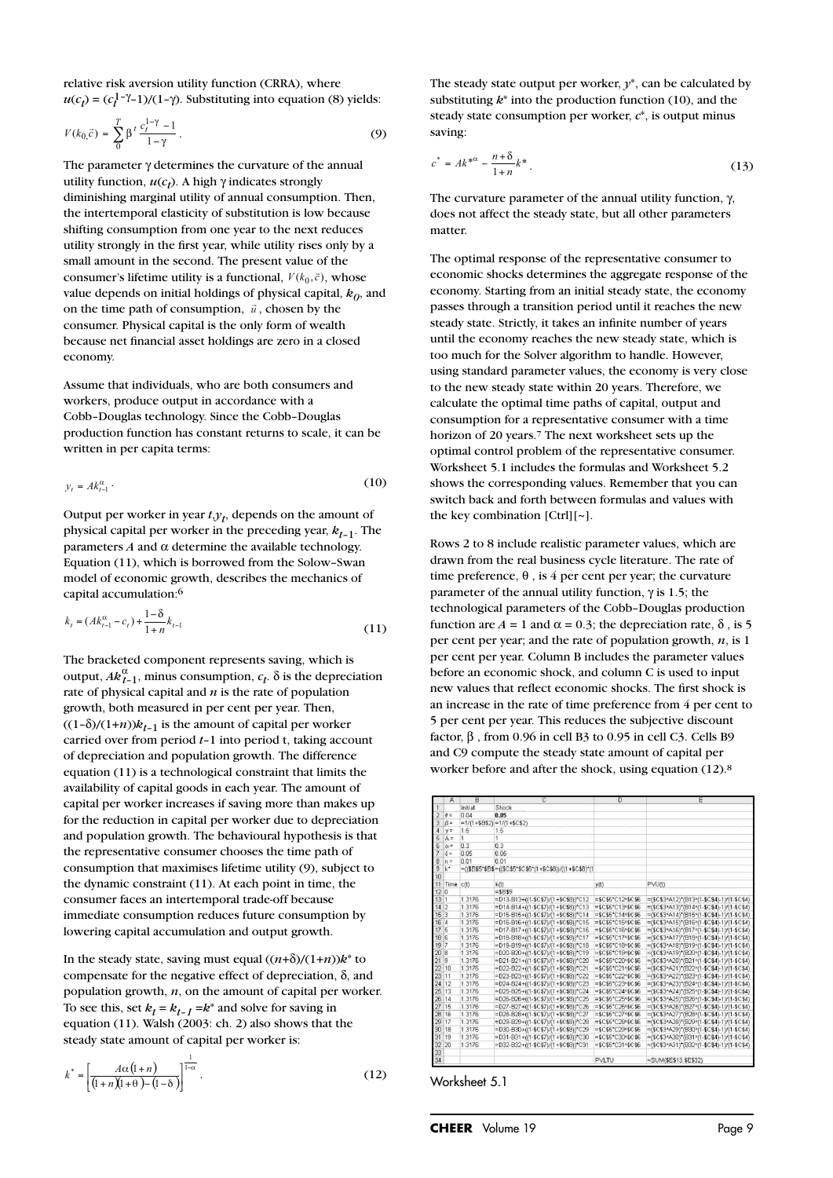relative risk aversion utility function (CRRA), where  $u(c_t) = (c_t^{1-\gamma} - 1)/(1-\gamma)$ . Substituting into equation (8) yields:

$$
V(k_0 \vec{c}) = \sum_{0}^{T} \beta^t \frac{c_t^{1-\gamma} - 1}{1 - \gamma}.
$$
 (9)

The parameter γ determines the curvature of the annual utility function,  $u(c_t)$ . A high  $\gamma$  indicates strongly diminishing marginal utility of annual consumption. Then, the intertemporal elasticity of substitution is low because shifting consumption from one year to the next reduces utility strongly in the first year, while utility rises only by a small amount in the second. The present value of the consumer's lifetime utility is a functional,  $V(k_0, \vec{c})$ , whose value depends on initial holdings of physical capital,  $k_0$ , and on the time path of consumption,  $\vec{u}$ , chosen by the consumer. Physical capital is the only form of wealth because net financial asset holdings are zero in a closed economy.

Assume that individuals, who are both consumers and workers, produce output in accordance with a Cobb–Douglas technology. Since the Cobb–Douglas production function has constant returns to scale, it can be written in per capita terms:

$$
y_t = Ak_{t-1}^{\alpha} \t\t(10)
$$

Output per worker in year  $t, y_t$ , depends on the amount of physical capital per worker in the preceding year,  $k_{t-1}$ . The parameters *A* and  $α$  determine the available technology. Equation (11), which is borrowed from the Solow–Swan model of economic growth, describes the mechanics of capital accumulation:6

$$
k_{t} = (Ak_{t-1}^{\alpha} - c_{t}) + \frac{1 - \delta}{1 + n}k_{t-1}
$$
\n(11)

The bracketed component represents saving, which is output,  $Ak_{t-1}^{\alpha}$ , minus consumption,  $c_t$ .  $\delta$  is the depreciation rate of physical capital and *n* is the rate of population growth, both measured in per cent per year. Then,  $((1-\delta)/(1+n))k_{t-1}$  is the amount of capital per worker carried over from period *t*–1 into period t, taking account of depreciation and population growth. The difference equation (11) is a technological constraint that limits the availability of capital goods in each year. The amount of capital per worker increases if saving more than makes up for the reduction in capital per worker due to depreciation and population growth. The behavioural hypothesis is that the representative consumer chooses the time path of consumption that maximises lifetime utility (9), subject to the dynamic constraint (11). At each point in time, the consumer faces an intertemporal trade-off because immediate consumption reduces future consumption by lowering capital accumulation and output growth.

In the steady state, saving must equal  $((n+\delta)/(1+n))k^*$  to compensate for the negative effect of depreciation, δ, and population growth, *n*, on the amount of capital per worker. To see this, set  $k_t = k_{t-1} = k^*$  and solve for saving in equation (11). Walsh (2003: ch. 2) also shows that the steady state amount of capital per worker is: for the state<br>  $\det k_t$ <br>  $\det k_t$ <br>  $\lim_{n \to \infty}$ <br>  $\frac{(1+n)}{(1+n)}$ (and the results of the rest<br>
(attion growth, *n*,<br>
e this, set  $k_t = k_t$ <br>
(ion (11). Walsh (y state amount of<br>  $A\alpha(1+n)$ <br>  $(1+n)(1+\theta)-(1-\delta)$ 

$$
k^* = \left[\frac{A\alpha\left(l+n\right)}{\left(l+n\right)\left(l+\theta\right)-\left(l-\delta\right)}\right]^{\frac{1}{1-\alpha}}.\tag{12}
$$

The steady state output per worker, *y*\*, can be calculated by substituting *k*\* into the production function (10), and the steady state consumption per worker, *c*\*, is output minus saving:

$$
c^* = Ak^{*\alpha} - \frac{n+\delta}{1+n}k^* \tag{13}
$$

The curvature parameter of the annual utility function, γ, does not affect the steady state, but all other parameters matter.

The optimal response of the representative consumer to economic shocks determines the aggregate response of the economy. Starting from an initial steady state, the economy passes through a transition period until it reaches the new steady state. Strictly, it takes an infinite number of years until the economy reaches the new steady state, which is too much for the Solver algorithm to handle. However, using standard parameter values, the economy is very close to the new steady state within 20 years. Therefore, we calculate the optimal time paths of capital, output and consumption for a representative consumer with a time horizon of 20 years.7 The next worksheet sets up the optimal control problem of the representative consumer. Worksheet 5.1 includes the formulas and Worksheet 5.2 shows the corresponding values. Remember that you can switch back and forth between formulas and values with the key combination [Ctrl][~].

Rows 2 to 8 include realistic parameter values, which are drawn from the real business cycle literature. The rate of time preference,  $\theta$ , is 4 per cent per year; the curvature parameter of the annual utility function,  $\gamma$  is 1.5; the technological parameters of the Cobb–Douglas production function are  $A = 1$  and  $\alpha = 0.3$ ; the depreciation rate,  $\delta$ , is 5 per cent per year; and the rate of population growth, *n*, is 1 per cent per year. Column B includes the parameter values before an economic shock, and column C is used to input new values that reflect economic shocks. The first shock is an increase in the rate of time preference from 4 per cent to 5 per cent per year. This reduces the subjective discount factor, β , from 0.96 in cell B3 to 0.95 in cell C3. Cells B9 and C9 compute the steady state amount of capital per worker before and after the shock, using equation (12).8

|                  | A          | B       | C                                                          | n                                  | E                                           |
|------------------|------------|---------|------------------------------------------------------------|------------------------------------|---------------------------------------------|
| 1                |            | Initial | Shock                                                      |                                    |                                             |
| 2                | $\theta =$ | 0.04    | 0.05                                                       |                                    |                                             |
| 3                | $\beta$ =  |         | $=1/(1+5B52)=1/(1+5C52)$                                   |                                    |                                             |
| $\boldsymbol{A}$ | $y =$      | 1.5     | 1.5                                                        |                                    |                                             |
| 5                | $A =$      | 1       | 1                                                          |                                    |                                             |
| Б                | $\alpha$ = | 03      | 03                                                         |                                    |                                             |
| 7                | $\delta$ = | 0.05    | 0.05                                                       |                                    |                                             |
| 8                | $n =$      | 0.01    | 0.01                                                       |                                    |                                             |
| 9                | $k^*$      |         | =((\$B\$5*\$B\$=((\$C\$5*\$C\$6*(1+\$C\$8))/((1+\$C\$8)*(1 |                                    |                                             |
| 10               |            |         |                                                            |                                    |                                             |
| 11               | Time c(t)  |         | k(t)                                                       | y(t)                               | PVU(t)                                      |
| 12 <sup>12</sup> |            |         | $=$ \$B\$9                                                 |                                    |                                             |
| 1311             |            | 1.3176  | =D13-B13+((1-\$C\$7)/(1+\$C\$8))*C12                       | $=$ \$C\$5*C12^\$C\$6              | =(\$C\$3^A12)*(B13^(1-\$C\$4)-1)/(1-\$C\$4) |
| 142              |            | 1.3176  | =D14-E14+((1-\$C\$7)/(1+\$C\$8))*C13                       | $= $C $5" C 13" $C $6$             | =(\$C\$3*A13)*(B14*(1-\$C\$4)-1)/(1-\$C\$4) |
| 15               | 13         | 1.3176  | =D15-B15+((1-\$C\$7)/(1+\$C\$8))*C14                       | $=$ \$C\$5*C14^\$C\$6              | =(\$C\$3*A14)*(B15*(1-\$C\$4)-1)/(1-\$C\$4) |
| 16               | I4         | 1.3176  | =D16-B16+((1-\$C\$7)/(1+\$C\$8))*C15                       | $= $C$5C15/$C$6$                   | =(\$C\$3^A15)*(B16^(1-\$C\$4)-1)/(1-\$C\$4) |
| 17               | 5          | 1.3176  | =D17-B17+((1-\$C\$7)/(1+\$C\$8))*C16                       | $= $C$5*C16*$C$6$                  | =(\$C\$3*A16)*(B17*(1-\$C\$4)-1)/(1-\$C\$4) |
| 18 6             |            | 1.3176  | =D18-B18+((1-\$C\$7)/(1+\$C\$8))*C17                       | $=$ \$C\$5*C17^\$C\$6              | =(\$C\$3^A17)*(B18^(1-\$C\$4)-1)/(1-\$C\$4) |
| 197              |            | 1.3176  | =D19-B19+((1-\$C\$7)/(1+\$C\$8))*C18                       | $= $C $5" C 18" $C $6$             | =(\$C\$3^A18)*(B19^(1-\$C\$4)-1)/(1-\$C\$4) |
| 20               | 8          | 1.3176  | =D20-B20+((1-\$C\$7)/(1+\$C\$8))*C19                       | $=$ \$C\$5"C19^\$C\$6              | =(\$C\$3^A19)*(B20^(1-\$C\$4)-1)/(1-\$C\$4) |
| 21               | <b>q</b>   | 1.3176  | =D21-B21+((1-\$C\$7)/(1+\$C\$8))*C20                       | $= $C $5*C20*$C $6$                | =(\$C\$3^A20)*(B21^(1-\$C\$4)-1)/(1-\$C\$4) |
| 22               | 10         | 1.3176  | =D22-B22+((1-\$C\$7)/(1+\$C\$8))*C21                       | $= $0.55^{\circ}$ C21^\$C\$6       | =(\$C\$3*A21)*(B22*(1-\$C\$4)-1)/(1-\$C\$4) |
| 23               | 11         | 1.3176  | =D23-B23+((1-\$C\$7)/(1+\$C\$8))*C22                       | $= $C$5*C22*$C$6$                  | =(\$C\$3*A22)*(B23*(1-\$C\$4)-1)/(1-\$C\$4) |
| 24               | 12         | 1.3176  | =D24-B24+((1-\$C\$7)/(1+\$C\$8))*C23                       | =\$C\$5*C23*\$C\$6                 | =(\$C\$3^A23)*(B24^(1-\$C\$4)-1)/(1-\$C\$4) |
| 25               | 13         | 1.3176  | $=$ D25-B25+((1-\$C\$7)/(1+\$C\$8))*C24                    | $= $C $5^{\circ}C24^{\circ} $C $6$ | =(\$C\$3*A24)*(B25*(1-\$C\$4)-1)/(1-\$C\$4) |
| 26               | 14         | 1.3176  | =D26-B26+((1-\$C\$7)/(1+\$C\$8))*C25                       | $= $C $5^{\circ}C25^{\circ} $C $6$ | =(\$C\$3*A25)*(B26*(1-\$C\$4)-1)/(1-\$C\$4) |
| 27               | 15         | 1.3176  | =D27-B27+((1-\$C\$7)/(1+\$C\$8))*C26                       | =\$C\$5"C26^\$C\$6                 | =(\$C\$3^A26)*(B27^(1-\$C\$4)-1)/(1-\$C\$4) |
| 28               | 16         | 1.3176  | $=$ D28-B28+((1-\$C\$7)/(1+\$C\$8))*C27                    | $=$ \$C\$5*C27^\$C\$6              | =(\$C\$3^A27)*(B28^(1-\$C\$4)-1)/(1-\$C\$4) |
| 29               | 17         | 1.3176  | =D29-B29+((1-\$C\$7)/(1+\$C\$8))*C28                       | $= $C $5*C20*$C $6$                | =(\$C\$3^A28)*(B29^(1-\$C\$4)-1)/(1-\$C\$4) |
| 30               | 118        | 1.3176  | =D30-B30+((1-\$C\$7)/(1+\$C\$8))*C29                       | =\$C\$5*C29*\$C\$6                 | =(\$C\$3*A29)*(B30*(1-\$C\$4)-1)/(1-\$C\$4) |
| 31               | 19         | 1.3176  | =D31-B31+((1-\$C\$7)/(1+\$C\$8))*C30                       | =\$C\$5"C30^\$C\$6                 | =(\$C\$3*A30)*(B31^(1-\$C\$4)-1)/(1-\$C\$4) |
| 32               | 20         | 1.3176  | =D32-B32+((1-\$C\$7)/(1+\$C\$8))*C31                       | =\$C\$5*C31^\$C\$6                 | =(\$C\$3^A31)*(B32^(1-\$C\$4)-1)/(1-\$C\$4) |
| 33               |            |         |                                                            |                                    |                                             |
| 34               |            |         |                                                            | <b>PVLTU</b>                       | =SUM(\$E\$13:\$E\$32)                       |

Worksheet 5.1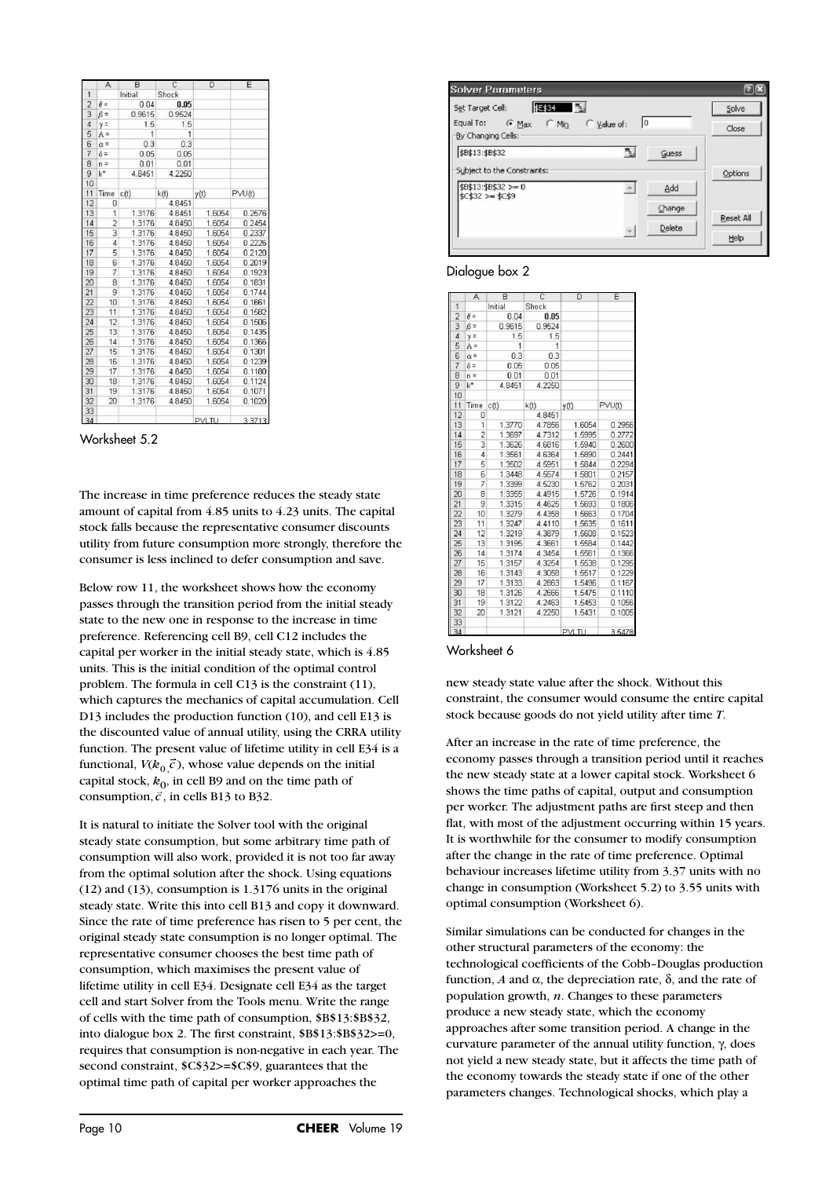|                | A              | B       | C              | D                 | E      |
|----------------|----------------|---------|----------------|-------------------|--------|
| 1              |                | Initial | Shock          |                   |        |
| $\overline{c}$ | $\theta =$     | 0.04    | 0.05           |                   |        |
| 3              | $\beta =$      | 0.9615  | 0.9524         |                   |        |
| $\overline{4}$ | $y =$          | 1.5     | 1.5            |                   |        |
| 5              | $A =$          | 1       | $\overline{1}$ |                   |        |
| $\overline{6}$ | $\alpha =$     | 0.3     | 0.3            |                   |        |
| $\overline{7}$ | $\delta$ =     | 0.05    | 0.05           |                   |        |
| 8              | $n =$          | 0.01    | 0.01           |                   |        |
| 9              | $k^{\star}$    | 4.8451  | 4.2250         |                   |        |
| 10             |                |         |                |                   |        |
| 11             | Time           | c(t)    | k(t)           | y(t)              | PVU(t) |
| 12             | Ū              |         | 4.8451         |                   |        |
| 13             | 1              | 1.3176  | 4.8451         | 1.6054            | 0.2576 |
| 14             | $\overline{c}$ | 1.3176  | 4.8450         | 1.6054            | 0.2454 |
| 15             | 3              | 1.3176  | 4.8450         | 1.6054            | 0.2337 |
| 16             | $\overline{4}$ | 1.3176  | 4.8450         | 1.6054            | 0.2226 |
| 17             | 5              | 1.3176  | 4.8450         | 1.6054            | 0.2120 |
| 18             | 6              | 1.3176  | 4.8450         | 1.6054            | 0.2019 |
| 19             | 7              | 1.3176  | 4.8450         | 1.6054            | 0.1923 |
| 20             | 8              | 1.3176  | 4.8450         | 1.6054            | 0.1831 |
| 21             | 9              | 1.3176  | 4.8450         | 1.6054            | 0.1744 |
| 22             | 10             | 1.3176  | 4.8450         | 1.6054            | 0.1661 |
| 23             | 11             | 1.3176  | 4.8450         | 1.6054            | 0.1582 |
| 24             | 12             | 1.3176  | 4.8450         | 1.6054            | 0.1506 |
| 25             | 13             | 1.3176  | 4.8450         | 1.6054            | 0.1435 |
| 26             | 14             | 1.3176  | 4.8450         | 1.6054            | 0.1366 |
| 27             | 15             | 1.3176  | 4.8450         | 1.6054            | 0.1301 |
| 28             | 16             | 1.3176  | 4.8450         | 1.6054            | 0.1239 |
| 29             | 17             | 1.3176  | 4.8450         | 1.6054            | 0.1180 |
| 30             | 18             | 1.3176  | 4.8450         | 1.6054            | 0.1124 |
| 31             | 19             | 1.3176  | 4.8450         | 1.6054            | 0.1071 |
| 32             | 20             | 1.3176  | 4.8450         | 1.6054            | 0.1020 |
| 33             |                |         |                |                   |        |
| $\overline{a}$ |                |         |                | <b>COLLA TILL</b> | 2742   |

Worksheet 5.2

The increase in time preference reduces the steady state amount of capital from 4.85 units to 4.23 units. The capital stock falls because the representative consumer discounts utility from future consumption more strongly, therefore the consumer is less inclined to defer consumption and save.

Below row 11, the worksheet shows how the economy passes through the transition period from the initial steady state to the new one in response to the increase in time preference. Referencing cell B9, cell C12 includes the capital per worker in the initial steady state, which is 4.85 units. This is the initial condition of the optimal control problem. The formula in cell C13 is the constraint (11), which captures the mechanics of capital accumulation. Cell D13 includes the production function (10), and cell E13 is the discounted value of annual utility, using the CRRA utility function. The present value of lifetime utility in cell E34 is a functional,  $V(k_0 \vec{c})$ , whose value depends on the initial capital stock,  $k_0$ , in cell B9 and on the time path of consumption,  $\vec{c}$ , in cells B13 to B32.

It is natural to initiate the Solver tool with the original steady state consumption, but some arbitrary time path of consumption will also work, provided it is not too far away from the optimal solution after the shock. Using equations (12) and (13), consumption is 1.3176 units in the original steady state. Write this into cell B13 and copy it downward. Since the rate of time preference has risen to 5 per cent, the original steady state consumption is no longer optimal. The representative consumer chooses the best time path of consumption, which maximises the present value of lifetime utility in cell E34. Designate cell E34 as the target cell and start Solver from the Tools menu. Write the range of cells with the time path of consumption, \$B\$13:\$B\$32, into dialogue box 2. The first constraint, \$B\$13:\$B\$32>=0, requires that consumption is non-negative in each year. The second constraint, \$C\$32>=\$C\$9, guarantees that the optimal time path of capital per worker approaches the

| \$E\$34 55<br>Set Target Cell: |                   | Solve     |
|--------------------------------|-------------------|-----------|
| By Changing Cells:             | 10<br>C Value of: | Close     |
| \$B\$13:\$B\$32                | 5.<br>Guess       |           |
| Subject to the Constraints:    |                   |           |
|                                |                   | Options   |
| \$B\$13:\$B\$32 >= 0           | Add               |           |
| $$C$32>=$C$9$                  | Change            |           |
|                                | Delete            | Reset All |

#### Dialogue box 2

|                | A              | B       | C      | D            | Ë      |
|----------------|----------------|---------|--------|--------------|--------|
| 1              |                | Initial | Shock  |              |        |
| $\overline{c}$ | $\theta =$     | 0.04    | 0.05   |              |        |
| 3              | $\beta =$      | 0.9615  | 0.9524 |              |        |
| $\overline{4}$ | $y =$          | 1.5     | 1.5    |              |        |
| 5              | $A =$          | 1       | 1      |              |        |
| $\overline{6}$ | $\alpha =$     | 0.3     | 0.3    |              |        |
| $\overline{7}$ | $\delta$ =     | 0.05    | 0.05   |              |        |
| 8              | $n =$          | 0.01    | 0.01   |              |        |
| 9              | $k^*$          | 4.8451  | 4.2250 |              |        |
| 10             |                |         |        |              |        |
| 11             | Time           | c(t)    | k(t)   | y(t)         | PVU(t) |
| 12             | 0              |         | 4.8451 |              |        |
| 13             | 1              | 1.3770  | 4.7856 | 1.6054       | 0.2956 |
| 14             | $\overline{2}$ | 1.3697  | 4.7312 | 1.5995       | 0.2772 |
| 15             | 3              | 1.3626  | 4.6816 | 1.5940       | 0.2600 |
| 16             | $\overline{4}$ | 1.3561  | 4.6364 | 1.5890       | 0.2441 |
| 17             | 5              | 1.3502  | 4.5951 | 1.5844       | 0.2294 |
| 18             | 6              | 1.3448  | 4.5574 | 1,5801       | 0.2157 |
| 19             | 7              | 1.3399  | 4.5230 | 1.5762       | 0.2031 |
| 20             | 8              | 1.3355  | 4.4915 | 1.5726       | 0.1914 |
| 21             | 9              | 1.3315  | 4.4625 | 1.5693       | 0.1806 |
| 22             | 10             | 1.3279  | 4.4358 | 1.5663       | 0.1704 |
| 23             | 11             | 1.3247  | 4.4110 | 1.5635       | 0.1611 |
| 24             | 12             | 1.3219  | 4.3879 | 1,5608       | 0.1523 |
| 25             | 13             | 1.3195  | 4.3661 | 1.5584       | 0.1442 |
| 26             | 14             | 1.3174  | 4.3454 | 1.5561       | 0.1366 |
| 27             | 15             | 1.3157  | 4.3254 | 1.5538       | 0.1295 |
| 28             | 16             | 1.3143  | 4.3058 | 1.5517       | 0.1229 |
| 29             | 17             | 1.3133  | 4.2863 | 1.5496       | 0.1167 |
| 30             | 18             | 1.3126  | 4.2666 | 1.5475       | 0.1110 |
| 31             | 19             | 1.3122  | 4.2463 | 1.5453       | 0.1056 |
| 32             | 20             | 1.3121  | 4.2250 | 1.5431       | 0.1005 |
| 33             |                |         |        |              |        |
| 34             |                |         |        | <b>PVLTU</b> | 3.5478 |

#### Worksheet 6

new steady state value after the shock. Without this constraint, the consumer would consume the entire capital stock because goods do not yield utility after time *T*.

After an increase in the rate of time preference, the economy passes through a transition period until it reaches the new steady state at a lower capital stock. Worksheet 6 shows the time paths of capital, output and consumption per worker. The adjustment paths are first steep and then flat, with most of the adjustment occurring within 15 years. It is worthwhile for the consumer to modify consumption after the change in the rate of time preference. Optimal behaviour increases lifetime utility from 3.37 units with no change in consumption (Worksheet 5.2) to 3.55 units with optimal consumption (Worksheet 6).

Similar simulations can be conducted for changes in the other structural parameters of the economy: the technological coefficients of the Cobb–Douglas production function, *A* and α, the depreciation rate, δ, and the rate of population growth, *n*. Changes to these parameters produce a new steady state, which the economy approaches after some transition period. A change in the curvature parameter of the annual utility function, γ, does not yield a new steady state, but it affects the time path of the economy towards the steady state if one of the other parameters changes. Technological shocks, which play a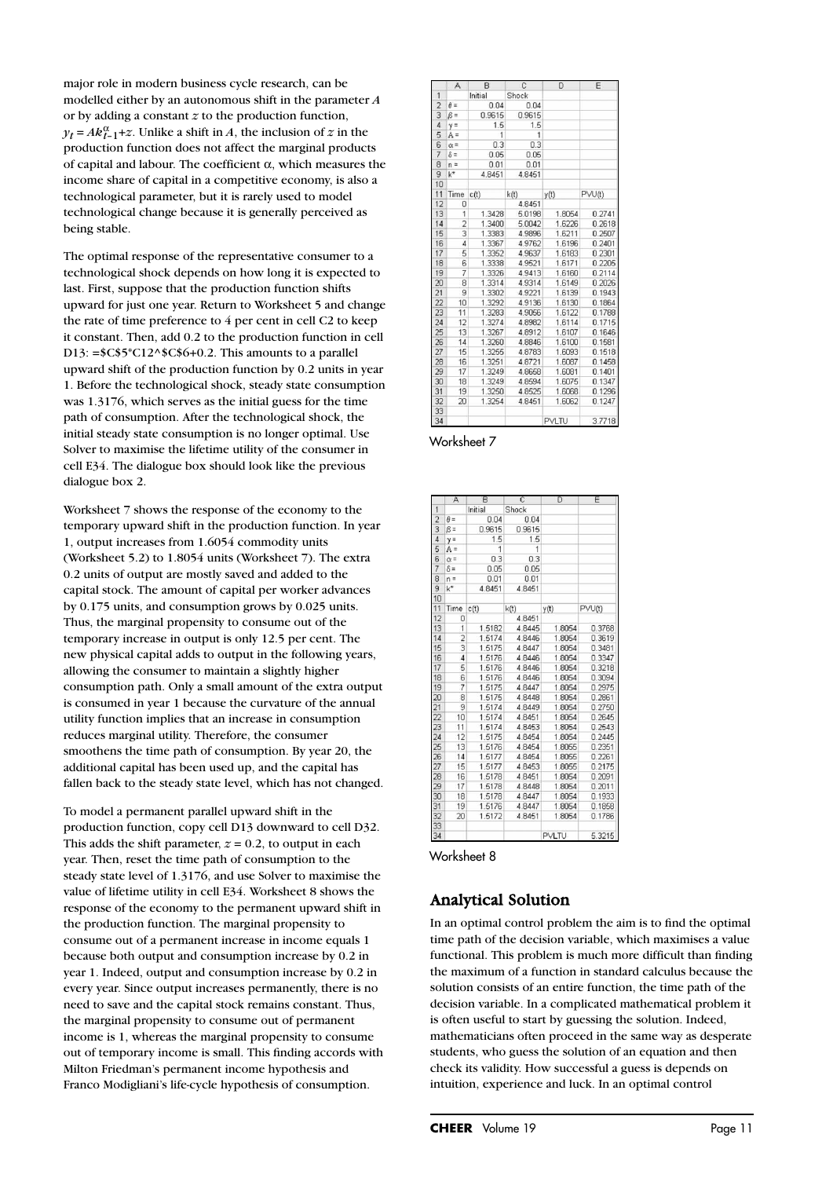major role in modern business cycle research, can be modelled either by an autonomous shift in the parameter *A* or by adding a constant *z* to the production function,  $y_t = Ak_{t-1}^{\alpha} + z$ . Unlike a shift in *A*, the inclusion of *z* in the production function does not affect the marginal products of capital and labour. The coefficient α, which measures the income share of capital in a competitive economy, is also a technological parameter, but it is rarely used to model technological change because it is generally perceived as being stable.

The optimal response of the representative consumer to a technological shock depends on how long it is expected to last. First, suppose that the production function shifts upward for just one year. Return to Worksheet 5 and change the rate of time preference to 4 per cent in cell C2 to keep it constant. Then, add 0.2 to the production function in cell D13:  $=\frac{$C$5*C12^6C$6+0.2}$ . This amounts to a parallel upward shift of the production function by 0.2 units in year 1. Before the technological shock, steady state consumption was 1.3176, which serves as the initial guess for the time path of consumption. After the technological shock, the initial steady state consumption is no longer optimal. Use Solver to maximise the lifetime utility of the consumer in cell E34. The dialogue box should look like the previous dialogue box 2.

Worksheet 7 shows the response of the economy to the temporary upward shift in the production function. In year 1, output increases from 1.6054 commodity units (Worksheet 5.2) to 1.8054 units (Worksheet 7). The extra 0.2 units of output are mostly saved and added to the capital stock. The amount of capital per worker advances by 0.175 units, and consumption grows by 0.025 units. Thus, the marginal propensity to consume out of the temporary increase in output is only 12.5 per cent. The new physical capital adds to output in the following years, allowing the consumer to maintain a slightly higher consumption path. Only a small amount of the extra output is consumed in year 1 because the curvature of the annual utility function implies that an increase in consumption reduces marginal utility. Therefore, the consumer smoothens the time path of consumption. By year 20, the additional capital has been used up, and the capital has fallen back to the steady state level, which has not changed.

To model a permanent parallel upward shift in the production function, copy cell D13 downward to cell D32. This adds the shift parameter,  $z = 0.2$ , to output in each year. Then, reset the time path of consumption to the steady state level of 1.3176, and use Solver to maximise the value of lifetime utility in cell E34. Worksheet 8 shows the response of the economy to the permanent upward shift in the production function. The marginal propensity to consume out of a permanent increase in income equals 1 because both output and consumption increase by 0.2 in year 1. Indeed, output and consumption increase by 0.2 in every year. Since output increases permanently, there is no need to save and the capital stock remains constant. Thus, the marginal propensity to consume out of permanent income is 1, whereas the marginal propensity to consume out of temporary income is small. This finding accords with Milton Friedman's permanent income hypothesis and Franco Modigliani's life-cycle hypothesis of consumption.

| A              | B                               | C            | D      | E                |
|----------------|---------------------------------|--------------|--------|------------------|
|                | Initial                         | Shock        |        |                  |
| $\theta =$     | 0.04                            | 0.04         |        |                  |
| $\beta =$      | 0.9615                          | 0.9615       |        |                  |
| $y =$          | 1.5                             | 1.5          |        |                  |
| $A =$          | $\mathbf{1}$                    | $\mathbf{1}$ |        |                  |
| $\alpha$ =     |                                 | 0.3          |        |                  |
| $\delta =$     | 0.05                            | 0.05         |        |                  |
| $n =$          | 0.01                            | 0.01         |        |                  |
|                | 4.8451                          | 4.8451       |        |                  |
|                |                                 |              |        |                  |
|                | c(t)                            | k(t)         | y(t)   | PVU(t)           |
| $\overline{0}$ |                                 | 4.8451       |        |                  |
| $\overline{1}$ |                                 |              | 1.8054 | 0.2741           |
|                | 1.3400                          |              | 1.6226 | 0.2618           |
| 3              | 1.3383                          | 4.9896       | 1.6211 | 0.2507           |
| $\overline{4}$ | 1.3367                          | 4.9762       | 1.6196 | 0.2401           |
| 5              | 1.3352                          | 4.9637       | 1.6183 | 0.2301           |
| 6              | 1.3338                          | 4.9521       | 1.6171 | 0.2205           |
| 7              | 1.3326                          | 4.9413       | 1.6160 | 0.2114           |
| 8              | 1.3314                          | 4.9314       | 1.6149 | 0.2026           |
| 9              | 1.3302                          | 4.9221       | 1.6139 | 0.1943           |
| 10             | 1.3292                          | 4.9136       | 1.6130 | 0.1864           |
| 11             | 1.3283                          | 4.9056       | 1.6122 | 0.1788           |
| 12             | 1.3274                          | 4.8982       | 1.6114 | 0.1715           |
| 13             | 1.3267                          | 4.8912       | 1.6107 | 0.1646           |
| 14             | 1.3260                          | 4.8846       | 1.6100 | 0.1581           |
| 15             | 1.3255                          | 4.8783       | 1.6093 | 0.1518           |
| 16             | 1.3251                          | 4.8721       | 1.6087 | 0.1458           |
| 17             | 1.3249                          | 4.8658       | 1.6081 | 0.1401           |
| 18             | 1.3249                          | 4.8594       | 1.6075 | 0.1347           |
| 19             | 1.3250                          | 4.8525       | 1.6068 | 0.1296           |
| 20             | 1.3254                          | 4.8451       | 1.6062 | 0.1247           |
|                |                                 |              |        |                  |
|                |                                 |              | PVLTU  | 3.7718           |
|                | $k^*$<br>Time<br>$\overline{2}$ | 0.3          | 1.3428 | 5.0198<br>5.0042 |

#### Worksheet 7

|                 | A                        | B       | C      | D            | E      |
|-----------------|--------------------------|---------|--------|--------------|--------|
| $\mathbf{1}$    |                          | Initial | Shock  |              |        |
| $\overline{c}$  | $A =$                    | 0.04    | 0.04   |              |        |
| 3               | $\beta =$                | 0.9615  | 0.9615 |              |        |
| 4               | $y =$                    | 1.5     | 1.5    |              |        |
| 5               | $A =$                    | 1       | 1      |              |        |
| 6               | $\alpha =$               | 0.3     | 0.3    |              |        |
| 7               | $\delta$ =               | 0.05    | 0.05   |              |        |
| 8               | $n =$                    | 0.01    | 0.01   |              |        |
| $\overline{9}$  | $k^*$                    | 4.8451  | 4.8451 |              |        |
| 10              |                          |         |        |              |        |
| 11              | Time                     | c(t)    | k(t)   | y(t)         | PVU(t) |
| 12              | 0                        |         | 4.8451 |              |        |
| 13              | 1                        | 1.5182  | 4.8445 | 1.8054       | 0.3768 |
| 14              | $\overline{c}$           | 1.5174  | 4.8446 | 1.8054       | 0.3619 |
| 15              | 3                        | 1.5175  | 4.8447 | 1.8054       | 0.3481 |
| 16              | 4                        | 1.5176  | 4.8446 | 1.8054       | 0.3347 |
| 17              | 5                        | 1.5176  | 4.8446 | 1.8054       | 0.3218 |
| 18              | 6                        | 1.5176  | 4.8446 | 1.8054       | 0.3094 |
| 19              | $\overline{\mathcal{I}}$ | 1.5175  | 4.8447 | 1.8054       | 0.2975 |
| 20              | 8                        | 1.5175  | 4.8448 | 1.8054       | 0.2861 |
| $\overline{21}$ | 9                        | 1.5174  | 4.8449 | 1.8054       | 0.2750 |
| 22              | 10                       | 1.5174  | 4.8451 | 1.8054       | 0.2645 |
| 23              | 11                       | 1.5174  | 4.8453 | 1.8054       | 0.2543 |
| 24              | 12                       | 1.5175  | 4.8454 | 1.8054       | 0.2445 |
| 25              | 13                       | 1.5176  | 4.8454 | 1.8055       | 0.2351 |
| 26              | 14                       | 1.5177  | 4.8454 | 1.8055       | 0.2261 |
| 27              | 15                       | 1.5177  | 4.8453 | 1.8055       | 0.2175 |
| 28              | 16                       | 1.5178  | 4.8451 | 1.8054       | 0.2091 |
| 29              | 17                       | 1.5178  | 4.8448 | 1.8054       | 0.2011 |
| 30              | 18                       | 1.5178  | 4.8447 | 1.8054       | 0.1933 |
| 31              | 19                       | 1.5176  | 4.8447 | 1.8054       | 0.1858 |
| 32              | 20                       | 1.5172  | 4.8451 | 1.8054       | 0.1786 |
| 33              |                          |         |        |              |        |
| 34              |                          |         |        | <b>PVLTU</b> | 5.3215 |

#### Worksheet 8

## Analytical Solution

In an optimal control problem the aim is to find the optimal time path of the decision variable, which maximises a value functional. This problem is much more difficult than finding the maximum of a function in standard calculus because the solution consists of an entire function, the time path of the decision variable. In a complicated mathematical problem it is often useful to start by guessing the solution. Indeed, mathematicians often proceed in the same way as desperate students, who guess the solution of an equation and then check its validity. How successful a guess is depends on intuition, experience and luck. In an optimal control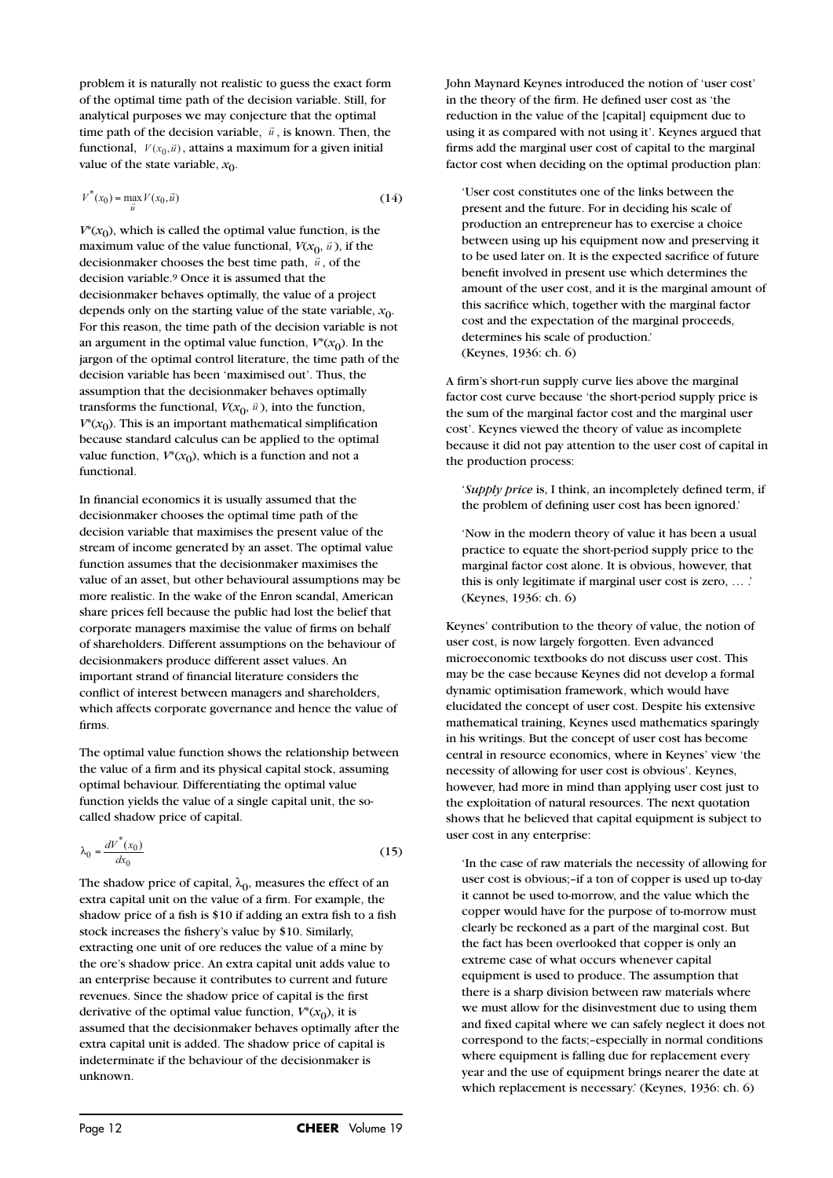problem it is naturally not realistic to guess the exact form of the optimal time path of the decision variable. Still, for analytical purposes we may conjecture that the optimal time path of the decision variable,  $\vec{u}$ , is known. Then, the functional  $V(x, \vec{v})$  oftains a maximum for a given initial functional,  $V(x_0, \vec{u})$ , attains a maximum for a given initial value of the state variable,  $x_0$ .

$$
V^*(x_0) = \max_{\vec{u}} V(x_0, \vec{u})
$$
\n(14)

 $V^*(x_0)$ , which is called the optimal value function, is the maximum value of the value functional,  $V(x_0, \vec{u})$ , if the decisionmaker chooses the best time path,  $\vec{u}$ , of the decision variable.9 Once it is assumed that the decisionmaker behaves optimally, the value of a project depends only on the starting value of the state variable,  $x_0$ . For this reason, the time path of the decision variable is not an argument in the optimal value function,  $V^*(x_0)$ . In the jargon of the optimal control literature, the time path of the decision variable has been 'maximised out'. Thus, the assumption that the decisionmaker behaves optimally transforms the functional,  $V(x_0, \vec{u})$ , into the function,  $V^*(x_0)$ . This is an important mathematical simplification because standard calculus can be applied to the optimal value function,  $V^*(x_0)$ , which is a function and not a functional.

In financial economics it is usually assumed that the decisionmaker chooses the optimal time path of the decision variable that maximises the present value of the stream of income generated by an asset. The optimal value function assumes that the decisionmaker maximises the value of an asset, but other behavioural assumptions may be more realistic. In the wake of the Enron scandal, American share prices fell because the public had lost the belief that corporate managers maximise the value of firms on behalf of shareholders. Different assumptions on the behaviour of decisionmakers produce different asset values. An important strand of financial literature considers the conflict of interest between managers and shareholders, which affects corporate governance and hence the value of firms.

The optimal value function shows the relationship between the value of a firm and its physical capital stock, assuming optimal behaviour. Differentiating the optimal value function yields the value of a single capital unit, the socalled shadow price of capital.

$$
\lambda_0 = \frac{dV^*(x_0)}{dx_0} \tag{15}
$$

The shadow price of capital,  $\lambda_0$ , measures the effect of an extra capital unit on the value of a firm. For example, the shadow price of a fish is \$10 if adding an extra fish to a fish stock increases the fishery's value by \$10. Similarly, extracting one unit of ore reduces the value of a mine by the ore's shadow price. An extra capital unit adds value to an enterprise because it contributes to current and future revenues. Since the shadow price of capital is the first derivative of the optimal value function,  $V^*(x_0)$ , it is assumed that the decisionmaker behaves optimally after the extra capital unit is added. The shadow price of capital is indeterminate if the behaviour of the decisionmaker is unknown.

John Maynard Keynes introduced the notion of 'user cost' in the theory of the firm. He defined user cost as 'the reduction in the value of the [capital] equipment due to using it as compared with not using it'. Keynes argued that firms add the marginal user cost of capital to the marginal factor cost when deciding on the optimal production plan:

'User cost constitutes one of the links between the present and the future. For in deciding his scale of production an entrepreneur has to exercise a choice between using up his equipment now and preserving it to be used later on. It is the expected sacrifice of future benefit involved in present use which determines the amount of the user cost, and it is the marginal amount of this sacrifice which, together with the marginal factor cost and the expectation of the marginal proceeds, determines his scale of production.' (Keynes, 1936: ch. 6)

A firm's short-run supply curve lies above the marginal factor cost curve because 'the short-period supply price is the sum of the marginal factor cost and the marginal user cost'. Keynes viewed the theory of value as incomplete because it did not pay attention to the user cost of capital in the production process:

'*Supply price* is, I think, an incompletely defined term, if the problem of defining user cost has been ignored.'

'Now in the modern theory of value it has been a usual practice to equate the short-period supply price to the marginal factor cost alone. It is obvious, however, that this is only legitimate if marginal user cost is zero, … .' (Keynes, 1936: ch. 6)

Keynes' contribution to the theory of value, the notion of user cost, is now largely forgotten. Even advanced microeconomic textbooks do not discuss user cost. This may be the case because Keynes did not develop a formal dynamic optimisation framework, which would have elucidated the concept of user cost. Despite his extensive mathematical training, Keynes used mathematics sparingly in his writings. But the concept of user cost has become central in resource economics, where in Keynes' view 'the necessity of allowing for user cost is obvious'. Keynes, however, had more in mind than applying user cost just to the exploitation of natural resources. The next quotation shows that he believed that capital equipment is subject to user cost in any enterprise:

'In the case of raw materials the necessity of allowing for user cost is obvious;–if a ton of copper is used up to-day it cannot be used to-morrow, and the value which the copper would have for the purpose of to-morrow must clearly be reckoned as a part of the marginal cost. But the fact has been overlooked that copper is only an extreme case of what occurs whenever capital equipment is used to produce. The assumption that there is a sharp division between raw materials where we must allow for the disinvestment due to using them and fixed capital where we can safely neglect it does not correspond to the facts;–especially in normal conditions where equipment is falling due for replacement every year and the use of equipment brings nearer the date at which replacement is necessary.' (Keynes, 1936: ch. 6)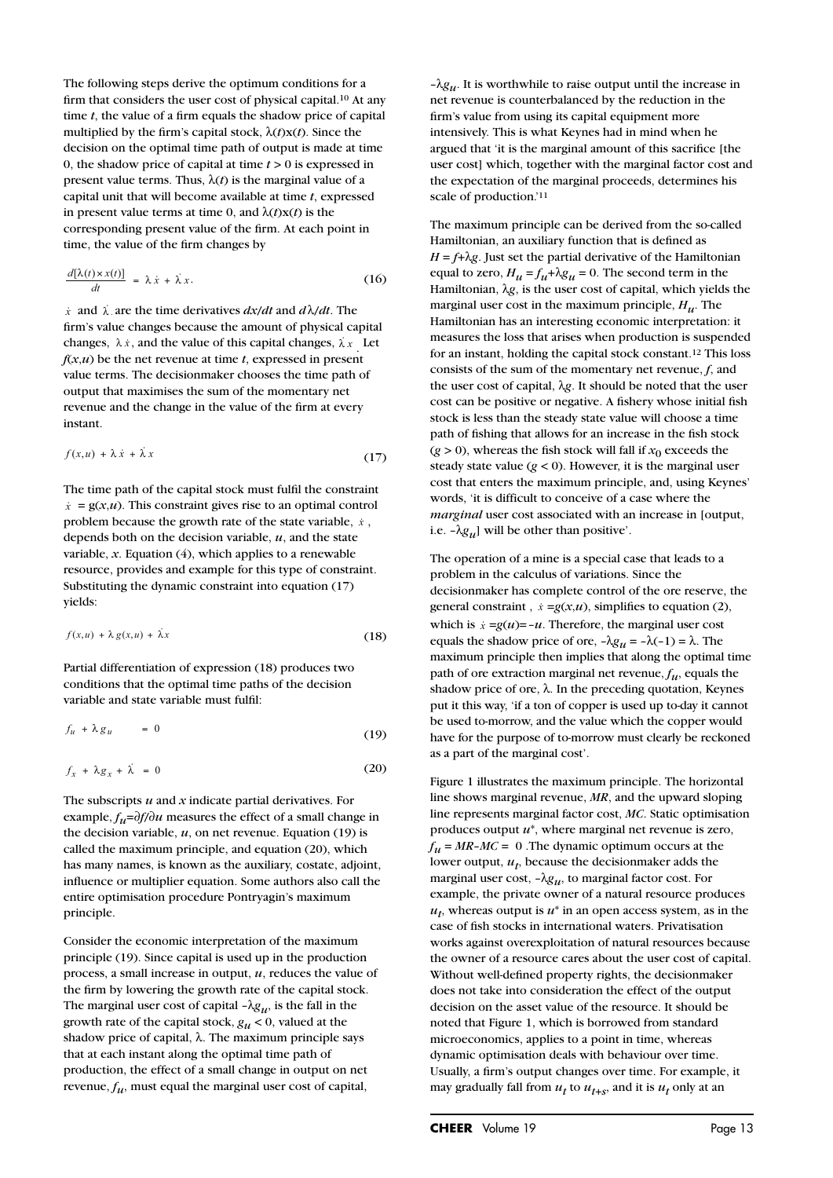The following steps derive the optimum conditions for a firm that considers the user cost of physical capital.10 At any time *t*, the value of a firm equals the shadow price of capital multiplied by the firm's capital stock, λ(*t*)x(*t*). Since the decision on the optimal time path of output is made at time 0, the shadow price of capital at time *t* > 0 is expressed in present value terms. Thus,  $\lambda(t)$  is the marginal value of a capital unit that will become available at time *t*, expressed in present value terms at time 0, and  $\lambda(t)$ x $(t)$  is the corresponding present value of the firm. At each point in time, the value of the firm changes by

$$
\frac{d[\lambda(t) \times x(t)]}{dt} = \lambda \dot{x} + \lambda x.
$$
 (16)

 $\dot{x}$  and  $\dot{\lambda}$ , are the time derivatives  $dx/dt$  and  $d\lambda/dt$ . The firm's value changes because the amount of physical capital changes,  $\lambda x$ , and the value of this capital changes,  $\lambda x$ . Let  $f(x, u)$  be the net revenue at time  $t$ , expressed in present value terms. The decisionmaker chooses the time path of output that maximises the sum of the momentary net revenue and the change in the value of the firm at every instant.

$$
f(x, u) + \lambda \dot{x} + \dot{\lambda} x \tag{17}
$$

The time path of the capital stock must fulfil the constraint  $\dot{x} = g(x, u)$ . This constraint gives rise to an optimal control  $\dot{x} = g(x, u)$ . This constraint gives rise to an optimal control problem because the growth rate of the state variable,  $\dot{x}$ ,  $\dot{x}$ ,  $\dot{y}$ depends both on the decision variable, *u*, and the state variable,  $x$ . Equation  $(4)$ , which applies to a renewable resource, provides and example for this type of constraint. Substituting the dynamic constraint into equation (17) yields:

$$
f(x, u) + \lambda g(x, u) + \lambda x \tag{18}
$$

Partial differentiation of expression (18) produces two conditions that the optimal time paths of the decision variable and state variable must fulfil:

variable and state variable must fulfill:  
\n
$$
f_u + \lambda g_u = 0
$$
\n(19)  
\n
$$
f_x + \lambda g_x + \lambda = 0
$$
\n(20)

$$
f_x + \lambda g_x + \lambda = 0 \tag{20}
$$

The subscripts *u* and *x* indicate partial derivatives. For example, *fu*=∂*f*/∂*u* measures the effect of a small change in the decision variable,  $u$ , on net revenue. Equation (19) is called the maximum principle, and equation (20), which has many names, is known as the auxiliary, costate, adjoint, influence or multiplier equation. Some authors also call the entire optimisation procedure Pontryagin's maximum principle.

Consider the economic interpretation of the maximum principle (19). Since capital is used up in the production process, a small increase in output, *u*, reduces the value of the firm by lowering the growth rate of the capital stock. The marginal user cost of capital  $-\lambda g_{\mu}$ , is the fall in the growth rate of the capital stock,  $g_u < 0$ , valued at the shadow price of capital,  $\lambda$ . The maximum principle says that at each instant along the optimal time path of production, the effect of a small change in output on net revenue,  $f_{\mu}$ , must equal the marginal user cost of capital,

 $-\lambda g_u$ . It is worthwhile to raise output until the increase in net revenue is counterbalanced by the reduction in the firm's value from using its capital equipment more intensively. This is what Keynes had in mind when he argued that 'it is the marginal amount of this sacrifice [the user cost] which, together with the marginal factor cost and the expectation of the marginal proceeds, determines his scale of production.'11

The maximum principle can be derived from the so-called Hamiltonian, an auxiliary function that is defined as  $H = f + \lambda g$ . Just set the partial derivative of the Hamiltonian equal to zero,  $H_u = f_u + \lambda g_u = 0$ . The second term in the Hamiltonian, λ*g*, is the user cost of capital, which yields the marginal user cost in the maximum principle, *Hu*. The Hamiltonian has an interesting economic interpretation: it measures the loss that arises when production is suspended for an instant, holding the capital stock constant.12 This loss consists of the sum of the momentary net revenue, *f*, and the user cost of capital, λ*g*. It should be noted that the user cost can be positive or negative. A fishery whose initial fish stock is less than the steady state value will choose a time path of fishing that allows for an increase in the fish stock ( $g > 0$ ), whereas the fish stock will fall if  $x_0$  exceeds the steady state value  $(g < 0)$ . However, it is the marginal user cost that enters the maximum principle, and, using Keynes' words, 'it is difficult to conceive of a case where the *marginal* user cost associated with an increase in [output, i.e.  $-\lambda g_u$ ] will be other than positive'.

The operation of a mine is a special case that leads to a problem in the calculus of variations. Since the decisionmaker has complete control of the ore reserve, the general constraint,  $\dot{x} = g(x, u)$ , simplifies to equation (2), which is  $\dot{x} = g(u) = -u$ . Therefore, the marginal user cost equals the shadow price of ore,  $-\lambda g_u = -\lambda(-1) = \lambda$ . The maximum principle then implies that along the optimal time path of ore extraction marginal net revenue,  $f_{\mu}$ , equals the shadow price of ore, λ. In the preceding quotation, Keynes put it this way, 'if a ton of copper is used up to-day it cannot be used to-morrow, and the value which the copper would have for the purpose of to-morrow must clearly be reckoned as a part of the marginal cost'.

Figure 1 illustrates the maximum principle. The horizontal line shows marginal revenue, *MR*, and the upward sloping line represents marginal factor cost, *MC*. Static optimisation produces output *u*\*, where marginal net revenue is zero,  $f_u = MR-MC = 0$ . The dynamic optimum occurs at the lower output,  $u_t$ , because the decisionmaker adds the marginal user cost,  $-\lambda g_u$ , to marginal factor cost. For example, the private owner of a natural resource produces  $u_t$ , whereas output is  $u^*$  in an open access system, as in the case of fish stocks in international waters. Privatisation works against overexploitation of natural resources because the owner of a resource cares about the user cost of capital. Without well-defined property rights, the decisionmaker does not take into consideration the effect of the output decision on the asset value of the resource. It should be noted that Figure 1, which is borrowed from standard microeconomics, applies to a point in time, whereas dynamic optimisation deals with behaviour over time. Usually, a firm's output changes over time. For example, it may gradually fall from  $u_t$  to  $u_{t+s}$ , and it is  $u_t$  only at an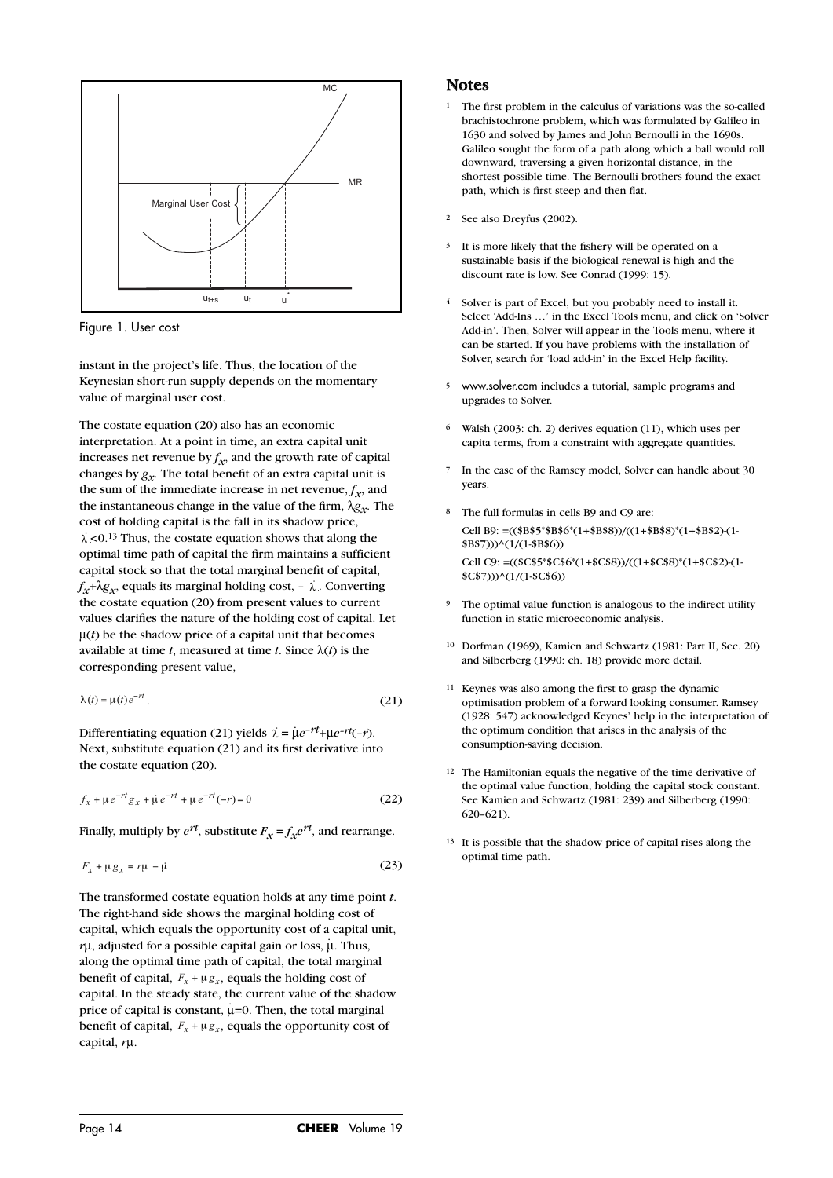

Figure 1. User cost

instant in the project's life. Thus, the location of the Keynesian short-run supply depends on the momentary value of marginal user cost.

The costate equation (20) also has an economic interpretation. At a point in time, an extra capital unit increases net revenue by  $f_x$ , and the growth rate of capital changes by  $g_x$ . The total benefit of an extra capital unit is the sum of the immediate increase in net revenue,  $f<sub>x</sub>$ , and the instantaneous change in the value of the firm,  $\lambda g_x$ . The cost of holding capital is the fall in its shadow price,  $\lambda$  <0.13 Thus, the costate equation shows that along the optimal time path of capital the firm maintains a sufficient capital stock so that the total marginal benefit of capital,  $f_x + \lambda g_x$ , equals its marginal holding cost,  $-\lambda$ . Converting  $\lambda$ the costate equation (20) from present values to current values clarifies the nature of the holding cost of capital. Let  $\mu(t)$  be the shadow price of a capital unit that becomes available at time *t*, measured at time *t*. Since  $\lambda(t)$  is the corresponding present value,  $\alpha$  available at terms<br>  $\alpha(t) = \mu(t)e^{-rt}$ *<sup>x</sup> <sup>x</sup> dt*  $\lambda$  *i*  $\lambda$ 

$$
\lambda(t) = \mu(t)e^{-rt}.
$$
\n(21)

Differentiating equation (21) yields  $\lambda = \mu e^{-rt} + \mu e^{-rt}(-r)$ . Next, substitute equation (21) and its first derivative into the costate equation (20).

$$
f_x + \mu e^{-rt} g_x + \mu e^{-rt} + \mu e^{-rt} (-r) = 0
$$
 (22)

Finally, multiply by  $e^{rt}$ , substitute  $F_x = f_x e^{rt}$ , and rearrange.

$$
F_x + \mu g_x = r\mu - \mu \tag{23}
$$

The transformed costate equation holds at any time point *t*. The right-hand side shows the marginal holding cost of capital, which equals the opportunity cost of a capital unit, *r*µ, adjusted for a possible capital gain or loss, µ. Thus, . along the optimal time path of capital, the total marginal benefit of capital,  $F_x + \mu g_x$ , equals the holding cost of capital. In the steady state, the current value of the shadow .price of capital is constant,  $\mu$ =0. Then, the total marginal benefit of capital,  $F_x + \mu g_x$ , equals the opportunity cost of capital, *r*µ.

#### **Notes**

- <sup>1</sup> The first problem in the calculus of variations was the so-called brachistochrone problem, which was formulated by Galileo in 1630 and solved by James and John Bernoulli in the 1690s. Galileo sought the form of a path along which a ball would roll downward, traversing a given horizontal distance, in the shortest possible time. The Bernoulli brothers found the exact path, which is first steep and then flat.
- See also Dreyfus (2002).
- It is more likely that the fishery will be operated on a sustainable basis if the biological renewal is high and the discount rate is low. See Conrad (1999: 15).
- <sup>4</sup> Solver is part of Excel, but you probably need to install it. Select 'Add-Ins …' in the Excel Tools menu, and click on 'Solver Add-in'. Then, Solver will appear in the Tools menu, where it can be started. If you have problems with the installation of Solver, search for 'load add-in' in the Excel Help facility.
- <sup>5</sup> www.solver.com includes a tutorial, sample programs and upgrades to Solver.
- Walsh (2003: ch. 2) derives equation (11), which uses per capita terms, from a constraint with aggregate quantities.
- In the case of the Ramsey model, Solver can handle about 30 years.
- 8 The full formulas in cells B9 and C9 are: Cell B9: =((\$B\$5\*\$B\$6\*(1+\$B\$8))/((1+\$B\$8)\*(1+\$B\$2)-(1- \$B\$7)))^(1/(1-\$B\$6)) Cell C9: =((\$C\$5\*\$C\$6\*(1+\$C\$8))/((1+\$C\$8)\*(1+\$C\$2)-(1- \$C\$7)))^(1/(1-\$C\$6))
- The optimal value function is analogous to the indirect utility function in static microeconomic analysis.
- 10 Dorfman (1969), Kamien and Schwartz (1981: Part II, Sec. 20) and Silberberg (1990: ch. 18) provide more detail.
- <sup>11</sup> Keynes was also among the first to grasp the dynamic optimisation problem of a forward looking consumer. Ramsey (1928: 547) acknowledged Keynes' help in the interpretation of the optimum condition that arises in the analysis of the consumption-saving decision.
- <sup>12</sup> The Hamiltonian equals the negative of the time derivative of the optimal value function, holding the capital stock constant. See Kamien and Schwartz (1981: 239) and Silberberg (1990: 620–621).
- <sup>13</sup> It is possible that the shadow price of capital rises along the optimal time path.